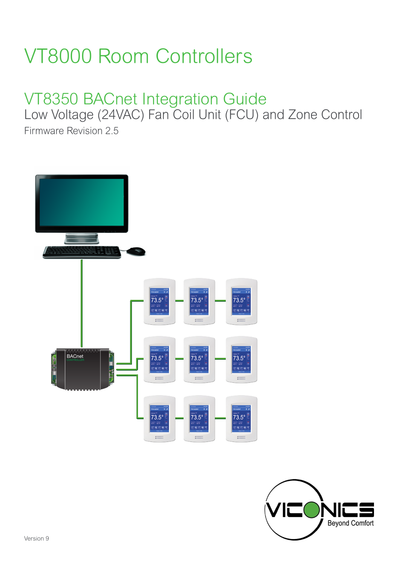# VT8000 Room Controllers

# VT8350 BACnet Integration Guide

Low Voltage (24VAC) Fan Coil Unit (FCU) and Zone Control

Firmware Revision 2.5



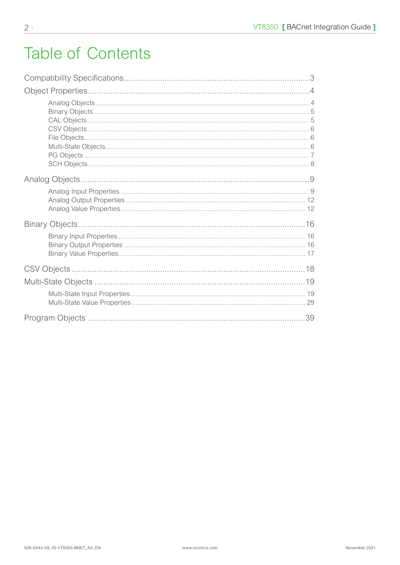## **Table of Contents**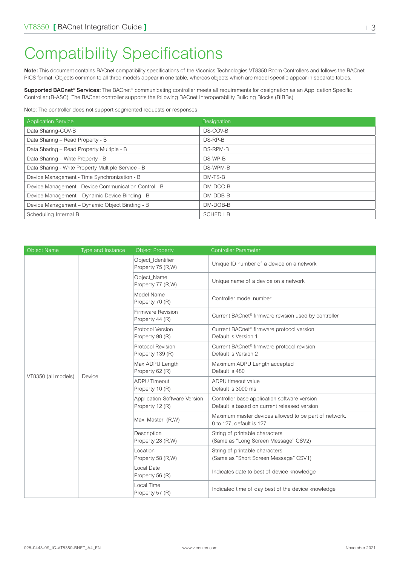## <span id="page-2-0"></span>Compatibility Specifications

**Note:** This document contains BACnet compatibility specifications of the Viconics Technologies VT8350 Room Controllers and follows the BACnet PICS format. Objects common to all three models appear in one table, whereas objects which are model specific appear in separate tables.

**Supported BACnet® Services:** The BACnet® communicating controller meets all requirements for designation as an Application Specific Controller (B-ASC). The BACnet controller supports the following BACnet Interoperability Building Blocks (BIBBs).

Note: The controller does not support segmented requests or responses

| <b>Application Service</b>                           | Designation |
|------------------------------------------------------|-------------|
| Data Sharing-COV-B                                   | DS-COV-B    |
| Data Sharing - Read Property - B                     | DS-RP-B     |
| Data Sharing - Read Property Multiple - B            | DS-RPM-B    |
| Data Sharing - Write Property - B                    | DS-WP-B     |
| Data Sharing - Write Property Multiple Service - B   | DS-WPM-B    |
| Device Management - Time Synchronization - B         | DM-TS-B     |
| Device Management - Device Communication Control - B | DM-DCC-B    |
| Device Management - Dynamic Device Binding - B       | DM-DDB-B    |
| Device Management - Dynamic Object Binding - B       | DM-DOB-B    |
| Scheduling-Internal-B                                | SCHED-I-B   |

| <b>Object Name</b>  | Type and Instance | <b>Object Property</b>                          | <b>Controller Parameter</b>                                                                  |
|---------------------|-------------------|-------------------------------------------------|----------------------------------------------------------------------------------------------|
|                     |                   | Object_Identifier<br>Property 75 (R,W)          | Unique ID number of a device on a network                                                    |
|                     |                   | Object Name<br>Property 77 (R,W)                | Unique name of a device on a network                                                         |
|                     |                   | Model Name<br>Property 70 (R)                   | Controller model number                                                                      |
|                     |                   | Firmware Revision<br>Property 44 (R)            | Current BACnet <sup>®</sup> firmware revision used by controller                             |
|                     |                   | Protocol Version<br>Property 98 (R)             | Current BACnet <sup>®</sup> firmware protocol version<br>Default is Version 1                |
|                     |                   | Protocol Revision<br>Property 139 (R)           | Current BACnet <sup>®</sup> firmware protocol revision<br>Default is Version 2               |
|                     |                   | Max ADPU Length<br>Property 62 (R)              | Maximum ADPU Length accepted<br>Default is 480                                               |
| VT8350 (all models) | Device            | <b>ADPU Timeout</b><br>Property 10 (R)          | ADPU timeout value<br>Default is 3000 ms                                                     |
|                     |                   | Application-Software-Version<br>Property 12 (R) | Controller base application software version<br>Default is based on current released version |
|                     |                   | Max_Master (R,W)                                | Maximum master devices allowed to be part of network.<br>0 to 127, default is 127            |
|                     |                   | Description<br>Property 28 (R,W)                | String of printable characters<br>(Same as "Long Screen Message" CSV2)                       |
|                     |                   | Location<br>Property 58 (R,W)                   | String of printable characters<br>(Same as "Short Screen Message" CSV1)                      |
|                     |                   | Local Date<br>Property 56 (R)                   | Indicates date to best of device knowledge                                                   |
|                     |                   | Local Time<br>Property 57 (R)                   | Indicated time of day best of the device knowledge                                           |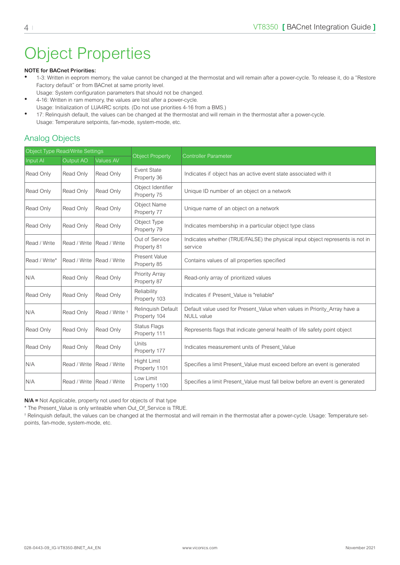## <span id="page-3-0"></span>Object Properties

#### **NOTE for BACnet Priorities:**

- 1-3: Written in eeprom memory, the value cannot be changed at the thermostat and will remain after a power-cycle. To release it, do a "Restore Factory default" or from BACnet at same priority level.
- Usage: System configuration parameters that should not be changed. • 4-16: Written in ram memory, the values are lost after a power-cycle.
- Usage: Initialization of LUA4RC scripts. (Do not use priorities 4-16 from a BMS.)
- 17: Relinquish default, the values can be changed at the thermostat and will remain in the thermostat after a power-cycle. Usage: Temperature setpoints, fan-mode, system-mode, etc.

#### Analog Objects

| Object Type Read/Write Settings |              |                           | <b>Controller Parameter</b>         |                                                                                                |  |
|---------------------------------|--------------|---------------------------|-------------------------------------|------------------------------------------------------------------------------------------------|--|
| Input Al                        | Output AO    | Values AV                 | <b>Object Property</b>              |                                                                                                |  |
| Read Only                       | Read Only    | Read Only                 | Event State<br>Property 36          | Indicates if object has an active event state associated with it                               |  |
| Read Only                       | Read Only    | Read Only                 | Object Identifier<br>Property 75    | Unique ID number of an object on a network                                                     |  |
| Read Only                       | Read Only    | Read Only                 | Object Name<br>Property 77          | Unique name of an object on a network                                                          |  |
| Read Only                       | Read Only    | Read Only                 | Object Type<br>Property 79          | Indicates membership in a particular object type class                                         |  |
| Read / Write                    | Read / Write | Read / Write              | Out of Service<br>Property 81       | Indicates whether (TRUE/FALSE) the physical input object represents is not in<br>service       |  |
| Read / Write*                   | Read / Write | Read / Write              | Present Value<br>Property 85        | Contains values of all properties specified                                                    |  |
| N/A                             | Read Only    | Read Only                 | Priority Array<br>Property 87       | Read-only array of prioritized values                                                          |  |
| Read Only                       | Read Only    | Read Only                 | Reliability<br>Property 103         | Indicates if Present Value is "reliable"                                                       |  |
| N/A                             | Read Only    | Read / Write <sup>+</sup> | Relinquish Default<br>Property 104  | Default value used for Present_Value when values in Priority_Array have a<br><b>NULL</b> value |  |
| Read Only                       | Read Only    | Read Only                 | <b>Status Flags</b><br>Property 111 | Represents flags that indicate general health of life safety point object                      |  |
| Read Only                       | Read Only    | Read Only                 | <b>Units</b><br>Property 177        | Indicates measurement units of Present Value                                                   |  |
| N/A                             | Read / Write | Read / Write              | <b>Hight Limit</b><br>Property 1101 | Specifies a limit Present_Value must exceed before an event is generated                       |  |
| N/A                             | Read / Write | Read / Write              | Low Limit<br>Property 1100          | Specifies a limit Present_Value must fall below before an event is generated                   |  |

**N/A =** Not Applicable, property not used for objects of that type

\* The Present\_Value is only writeable when Out\_Of\_Service is TRUE.

† Relinquish default, the values can be changed at the thermostat and will remain in the thermostat after a power-cycle. Usage: Temperature setpoints, fan-mode, system-mode, etc.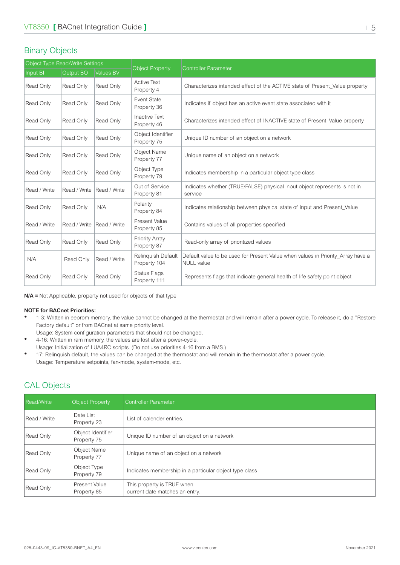#### <span id="page-4-0"></span>Binary Objects

| Object Type Read/Write Settings |              |                  |                                     |                                                                                                      |  |
|---------------------------------|--------------|------------------|-------------------------------------|------------------------------------------------------------------------------------------------------|--|
| Input BI                        | Output BO    | <b>Values BV</b> | <b>Object Property</b>              | <b>Controller Parameter</b>                                                                          |  |
| Read Only                       | Read Only    | Read Only        | <b>Active Text</b><br>Property 4    | Characterizes intended effect of the ACTIVE state of Present Value property                          |  |
| Read Only                       | Read Only    | Read Only        | Event State<br>Property 36          | Indicates if object has an active event state associated with it                                     |  |
| Read Only                       | Read Only    | Read Only        | <b>Inactive Text</b><br>Property 46 | Characterizes intended effect of INACTIVE state of Present Value property                            |  |
| Read Only                       | Read Only    | Read Only        | Object Identifier<br>Property 75    | Unique ID number of an object on a network                                                           |  |
| Read Only                       | Read Only    | Read Only        | <b>Object Name</b><br>Property 77   | Unique name of an object on a network                                                                |  |
| Read Only                       | Read Only    | Read Only        | Object Type<br>Property 79          | Indicates membership in a particular object type class                                               |  |
| Read / Write                    | Read / Write | Read / Write     | Out of Service<br>Property 81       | Indicates whether (TRUE/FALSE) physical input object represents is not in<br>service                 |  |
| Read Only                       | Read Only    | N/A              | Polarity<br>Property 84             | Indicates relationship between physical state of input and Present Value                             |  |
| Read / Write                    | Read / Write | Read / Write     | Present Value<br>Property 85        | Contains values of all properties specified                                                          |  |
| Read Only                       | Read Only    | Read Only        | Priority Array<br>Property 87       | Read-only array of prioritized values                                                                |  |
| N/A                             | Read Only    | Read / Write     | Relinquish Default<br>Property 104  | Default value to be used for Present Value when values in Priority_Array have a<br><b>NULL</b> value |  |
| Read Only                       | Read Only    | Read Only        | <b>Status Flags</b><br>Property 111 | Represents flags that indicate general health of life safety point object                            |  |

**N/A =** Not Applicable, property not used for objects of that type

#### **NOTE for BACnet Priorities:**

- 1-3: Written in eeprom memory, the value cannot be changed at the thermostat and will remain after a power-cycle. To release it, do a "Restore Factory default" or from BACnet at same priority level.
	- Usage: System configuration parameters that should not be changed.
- 4-16: Written in ram memory, the values are lost after a power-cycle. Usage: Initialization of LUA4RC scripts. (Do not use priorities 4-16 from a BMS.)
- 17: Relinquish default, the values can be changed at the thermostat and will remain in the thermostat after a power-cycle. Usage: Temperature setpoints, fan-mode, system-mode, etc.

#### CAL Objects

| <b>Read/Write</b> | <b>Object Property</b>           | <b>Controller Parameter</b>                                  |
|-------------------|----------------------------------|--------------------------------------------------------------|
| Read / Write      | Date List<br>Property 23         | List of calender entries.                                    |
| Read Only         | Object Identifier<br>Property 75 | Unique ID number of an object on a network                   |
| Read Only         | Object Name<br>Property 77       | Unique name of an object on a network                        |
| Read Only         | Object Type<br>Property 79       | Indicates membership in a particular object type class       |
| Read Only         | Present Value<br>Property 85     | This property is TRUE when<br>current date matches an entry. |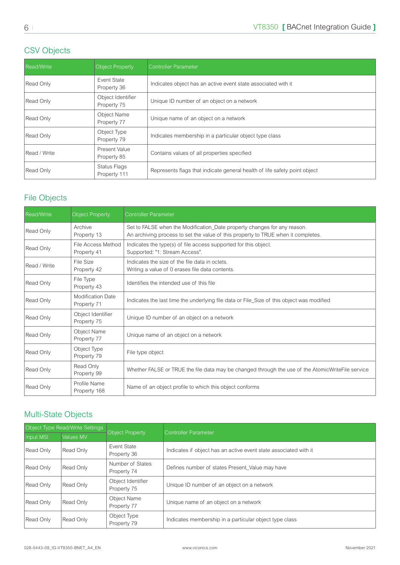## <span id="page-5-0"></span>CSV Objects

| <b>Read/Write</b> | Object Property                  | <b>Controller Parameter</b>                                               |
|-------------------|----------------------------------|---------------------------------------------------------------------------|
| Read Only         | Event State<br>Property 36       | Indicates object has an active event state associated with it             |
| Read Only         | Object Identifier<br>Property 75 | Unique ID number of an object on a network                                |
| Read Only         | Object Name<br>Property 77       | Unique name of an object on a network                                     |
| Read Only         | Object Type<br>Property 79       | Indicates membership in a particular object type class                    |
| Read / Write      | Present Value<br>Property 85     | Contains values of all properties specified                               |
| Read Only         | Status Flags<br>Property 111     | Represents flags that indicate general health of life safety point object |

### File Objects

| Read/Write   | <b>Object Property</b>                  | <b>Controller Parameter</b>                                                                                                                                   |
|--------------|-----------------------------------------|---------------------------------------------------------------------------------------------------------------------------------------------------------------|
| Read Only    | Archive<br>Property 13                  | Set to FALSE when the Modification_Date property changes for any reason.<br>An archiving process to set the value of this property to TRUE when it completes. |
| Read Only    | File Access Method<br>Property 41       | Indicates the type(s) of file access supported for this object.<br>Supported: "1: Stream Access".                                                             |
| Read / Write | File Size<br>Property 42                | Indicates the size of the file data in octets.<br>Writing a value of 0 erases file data contents.                                                             |
| Read Only    | File Type<br>Property 43                | Identifies the intended use of this file                                                                                                                      |
| Read Only    | <b>Modification Date</b><br>Property 71 | Indicates the last time the underlying file data or File_Size of this object was modified                                                                     |
| Read Only    | Object Identifier<br>Property 75        | Unique ID number of an object on a network                                                                                                                    |
| Read Only    | Object Name<br>Property 77              | Unique name of an object on a network                                                                                                                         |
| Read Only    | Object Type<br>Property 79              | File type object                                                                                                                                              |
| Read Only    | Read Only<br>Property 99                | Whether FALSE or TRUE the file data may be changed through the use of the AtomicWriteFile service                                                             |
| Read Only    | Profile Name<br>Property 168            | Name of an object profile to which this object conforms                                                                                                       |

### Multi-State Objects

| Object Type Read/Write Settings |           |                                  |                                                                  |  |
|---------------------------------|-----------|----------------------------------|------------------------------------------------------------------|--|
| Input MSI                       | Values MV | <b>Object Property</b>           | Controller Parameter                                             |  |
| Read Only                       | Read Only | Event State<br>Property 36       | Indicates if object has an active event state associated with it |  |
| Read Only                       | Read Only | Number of States<br>Property 74  | Defines number of states Present Value may have                  |  |
| Read Only                       | Read Only | Object Identifier<br>Property 75 | Unique ID number of an object on a network                       |  |
| Read Only                       | Read Only | Object Name<br>Property 77       | Unique name of an object on a network                            |  |
| Read Only                       | Read Only | Object Type<br>Property 79       | Indicates membership in a particular object type class           |  |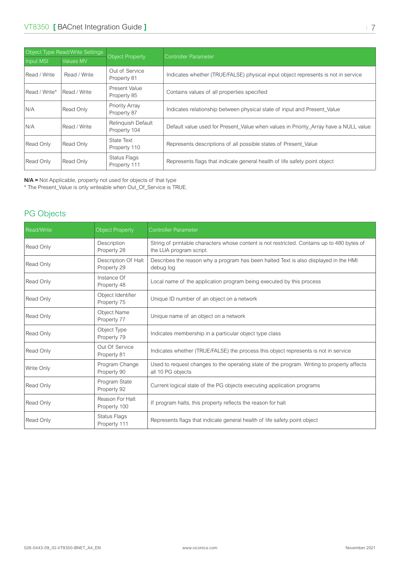<span id="page-6-0"></span>

| Object Type Read/Write Settings |                  |                                     |                                                                                      |  |
|---------------------------------|------------------|-------------------------------------|--------------------------------------------------------------------------------------|--|
| Input MSI                       | <b>Values MV</b> | <b>Object Property</b>              | <b>Controller Parameter</b>                                                          |  |
| Read / Write                    | Read / Write     | Out of Service<br>Property 81       | Indicates whether (TRUE/FALSE) physical input object represents is not in service    |  |
| Read / Write*                   | Read / Write     | <b>Present Value</b><br>Property 85 | Contains values of all properties specified                                          |  |
| N/A                             | Read Only        | Priority Array<br>Property 87       | Indicates relationship between physical state of input and Present Value             |  |
| N/A                             | Read / Write     | Relinquish Default<br>Property 104  | Default value used for Present Value when values in Priority Array have a NULL value |  |
| Read Only                       | Read Only        | State Text<br>Property 110          | Represents descriptions of all possible states of Present_Value                      |  |
| Read Only                       | Read Only        | Status Flags<br>Property 111        | Represents flags that indicate general health of life safety point object            |  |

**N/A =** Not Applicable, property not used for objects of that type

\* The Present\_Value is only writeable when Out\_Of\_Service is TRUE.

### PG Objects

| <b>Read/Write</b> | <b>Object Property</b>             | <b>Controller Parameter</b>                                                                                            |
|-------------------|------------------------------------|------------------------------------------------------------------------------------------------------------------------|
| Read Only         | Description<br>Property 28         | String of printable characters whose content is not restricted. Contains up to 480 bytes of<br>the LUA program script. |
| Read Only         | Description Of Halt<br>Property 29 | Describes the reason why a program has been halted Text is also displayed in the HMI<br>debug log                      |
| Read Only         | Instance Of<br>Property 48         | Local name of the application program being executed by this process                                                   |
| Read Only         | Object Identifier<br>Property 75   | Unique ID number of an object on a network                                                                             |
| Read Only         | Object Name<br>Property 77         | Unique name of an object on a network                                                                                  |
| Read Only         | Object Type<br>Property 79         | Indicates membership in a particular object type class                                                                 |
| Read Only         | Out Of Service<br>Property 81      | Indicates whether (TRUE/FALSE) the process this object represents is not in service                                    |
| Write Only        | Program Change<br>Property 90      | Used to request changes to the operating state of the program. Writing to property affects<br>all 10 PG objects        |
| Read Only         | Program State<br>Property 92       | Current logical state of the PG objects executing application programs                                                 |
| Read Only         | Reason For Halt<br>Property 100    | If program halts, this property reflects the reason for halt                                                           |
| Read Only         | Status Flags<br>Property 111       | Represents flags that indicate general health of life safety point object                                              |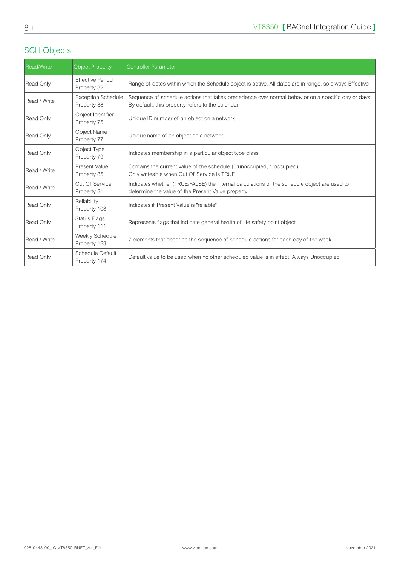### <span id="page-7-0"></span>SCH Objects

| <b>Read/Write</b> | <b>Object Property</b>                   | <b>Controller Parameter</b>                                                                                                                            |
|-------------------|------------------------------------------|--------------------------------------------------------------------------------------------------------------------------------------------------------|
| Read Only         | <b>Effective Period</b><br>Property 32   | Range of dates within which the Schedule object is active. All dates are in range, so always Effective                                                 |
| Read / Write      | <b>Exception Schedule</b><br>Property 38 | Sequence of schedule actions that takes precedence over normal behavior on a specific day or days.<br>By default, this property refers to the calendar |
| Read Only         | Object Identifier<br>Property 75         | Unique ID number of an object on a network                                                                                                             |
| Read Only         | <b>Object Name</b><br>Property 77        | Unique name of an object on a network                                                                                                                  |
| Read Only         | Object Type<br>Property 79               | Indicates membership in a particular object type class                                                                                                 |
| Read / Write      | Present Value<br>Property 85             | Contains the current value of the schedule (0: unoccupied, 1: occupied).<br>Only writeable when Out Of Service is TRUE.                                |
| Read / Write      | Out Of Service<br>Property 81            | Indicates whether (TRUE/FALSE) the internal calculations of the schedule object are used to<br>determine the value of the Present Value property       |
| Read Only         | Reliability<br>Property 103              | Indicates if Present Value is "reliable"                                                                                                               |
| Read Only         | <b>Status Flags</b><br>Property 111      | Represents flags that indicate general health of life safety point object                                                                              |
| Read / Write      | Weekly Schedule<br>Property 123          | 7 elements that describe the sequence of schedule actions for each day of the week                                                                     |
| Read Only         | Schedule Default<br>Property 174         | Default value to be used when no other scheduled value is in effect. Always Unoccupied                                                                 |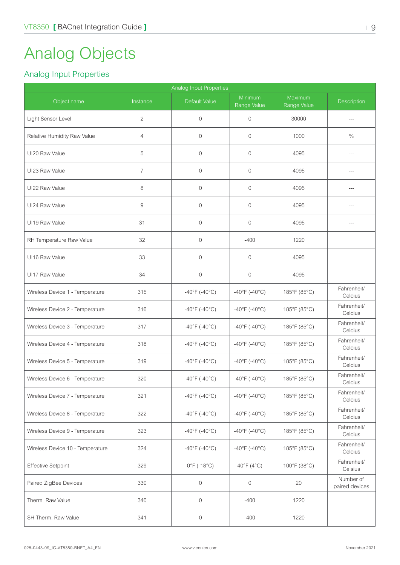## <span id="page-8-0"></span>Analog Objects

### Analog Input Properties

| Analog Input Properties          |                |                                    |                                    |                        |                             |  |  |
|----------------------------------|----------------|------------------------------------|------------------------------------|------------------------|-----------------------------|--|--|
| Object name                      | Instance       | Default Value                      | Minimum<br>Range Value             | Maximum<br>Range Value | <b>Description</b>          |  |  |
| Light Sensor Level               | $\overline{c}$ | $\mathbf 0$                        | $\mathbf{0}$                       | 30000                  |                             |  |  |
| Relative Humidity Raw Value      | $\overline{4}$ | $\mathbf 0$                        | $\mathbf{0}$                       | 1000                   | $\%$                        |  |  |
| UI20 Raw Value                   | 5              | $\mathbf{0}$                       | 0                                  | 4095                   |                             |  |  |
| UI23 Raw Value                   | $\overline{7}$ | $\mathbf{0}$                       | 0                                  | 4095                   | ---                         |  |  |
| UI22 Raw Value                   | 8              | $\mathbf 0$                        | 0                                  | 4095                   | ---                         |  |  |
| UI24 Raw Value                   | $\hbox{9}$     | $\mathbf 0$                        | $\mathbf{0}$                       | 4095                   |                             |  |  |
| UI19 Raw Value                   | 31             | $\mathbf 0$                        | $\mathbf 0$                        | 4095                   |                             |  |  |
| RH Temperature Raw Value         | 32             | $\mathbf 0$                        | $-400$                             | 1220                   |                             |  |  |
| UI16 Raw Value                   | 33             | 0                                  | $\mathbf{0}$                       | 4095                   |                             |  |  |
| UI17 Raw Value                   | 34             | $\mathbf 0$                        | 0                                  | 4095                   |                             |  |  |
| Wireless Device 1 - Temperature  | 315            | $-40^{\circ}$ F (-40°C)            | $-40^{\circ}$ F (-40°C)            | 185°F (85°C)           | Fahrenheit/<br>Celcius      |  |  |
| Wireless Device 2 - Temperature  | 316            | $-40^{\circ}$ F (-40°C)            | $-40^{\circ}$ F (-40°C)            | 185°F (85°C)           | Fahrenheit/<br>Celcius      |  |  |
| Wireless Device 3 - Temperature  | 317            | $-40^{\circ}$ F (-40°C)            | $-40^{\circ}$ F (-40°C)            | 185°F (85°C)           | Fahrenheit/<br>Celcius      |  |  |
| Wireless Device 4 - Temperature  | 318            | $-40^{\circ}$ F (-40 $^{\circ}$ C) | $-40^{\circ}$ F (-40°C)            | 185°F (85°C)           | Fahrenheit/<br>Celcius      |  |  |
| Wireless Device 5 - Temperature  | 319            | $-40^{\circ}$ F (-40°C)            | $-40^{\circ}$ F (-40°C)            | 185°F (85°C)           | Fahrenheit/<br>Celcius      |  |  |
| Wireless Device 6 - Temperature  | 320            | $-40^{\circ}$ F (-40°C)            | $-40^{\circ}$ F (-40°C)            | 185°F (85°C)           | Fahrenheit/<br>Celcius      |  |  |
| Wireless Device 7 - Temperature  | 321            | $-40^{\circ}$ F (-40°C)            | $-40^{\circ}$ F ( $-40^{\circ}$ C) | 185°F (85°C)           | Fahrenheit/<br>Celcius      |  |  |
| Wireless Device 8 - Temperature  | 322            | $-40^{\circ}$ F (-40°C)            | $-40^{\circ}$ F ( $-40^{\circ}$ C) | 185°F (85°C)           | Fahrenheit/<br>Celcius      |  |  |
| Wireless Device 9 - Temperature  | 323            | $-40^{\circ}$ F (-40 $^{\circ}$ C) | $-40^{\circ}$ F ( $-40^{\circ}$ C) | 185°F (85°C)           | Fahrenheit/<br>Celcius      |  |  |
| Wireless Device 10 - Temperature | 324            | $-40^{\circ}$ F (-40°C)            | $-40^{\circ}$ F (-40°C)            | 185°F (85°C)           | Fahrenheit/<br>Celcius      |  |  |
| <b>Effective Setpoint</b>        | 329            | $0^{\circ}$ F (-18 $^{\circ}$ C)   | 40°F (4°C)                         | 100°F (38°C)           | Fahrenheit/<br>Celsius      |  |  |
| Paired ZigBee Devices            | 330            | $\mathbf 0$                        | $\mathsf{O}\xspace$                | 20                     | Number of<br>paired devices |  |  |
| Therm. Raw Value                 | 340            | $\boldsymbol{0}$                   | $-400$                             | 1220                   |                             |  |  |
| SH Therm. Raw Value              | 341            | $\boldsymbol{0}$                   | $-400$                             | 1220                   |                             |  |  |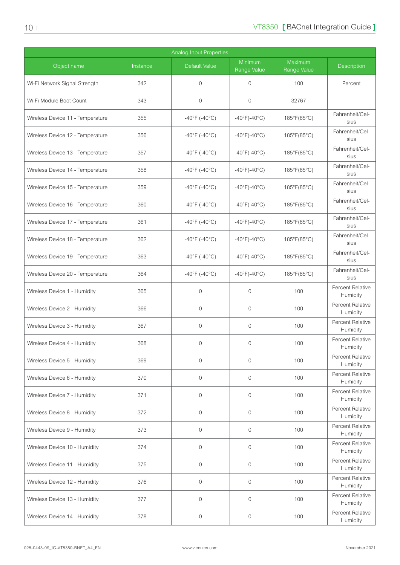| <b>Analog Input Properties</b>   |          |                                    |                                   |                        |                              |  |  |
|----------------------------------|----------|------------------------------------|-----------------------------------|------------------------|------------------------------|--|--|
| Object name                      | Instance | Default Value                      | Minimum<br>Range Value            | Maximum<br>Range Value | <b>Description</b>           |  |  |
| Wi-Fi Network Signal Strength    | 342      | $\mathbf 0$                        | $\Omega$                          | 100                    | Percent                      |  |  |
| Wi-Fi Module Boot Count          | 343      | $\mathbf{0}$                       | $\mathbf{0}$                      | 32767                  |                              |  |  |
| Wireless Device 11 - Temperature | 355      | $-40^{\circ}$ F (-40°C)            | $-40^{\circ}F(-40^{\circ}C)$      | 185°F(85°C)            | Fahrenheit/Cel-<br>sius      |  |  |
| Wireless Device 12 - Temperature | 356      | $-40^{\circ}$ F (-40°C)            | $-40^{\circ}$ F( $-40^{\circ}$ C) | 185°F(85°C)            | Fahrenheit/Cel-<br>sius      |  |  |
| Wireless Device 13 - Temperature | 357      | $-40^{\circ}$ F (-40°C)            | $-40^{\circ}$ F( $-40^{\circ}$ C) | 185°F(85°C)            | Fahrenheit/Cel-<br>sius      |  |  |
| Wireless Device 14 - Temperature | 358      | $-40^{\circ}$ F (-40 $^{\circ}$ C) | $-40^{\circ}$ F( $-40^{\circ}$ C) | 185°F(85°C)            | Fahrenheit/Cel-<br>sius      |  |  |
| Wireless Device 15 - Temperature | 359      | $-40^{\circ}$ F (-40°C)            | $-40^{\circ}F(-40^{\circ}C)$      | 185°F(85°C)            | Fahrenheit/Cel-<br>sius      |  |  |
| Wireless Device 16 - Temperature | 360      | $-40^{\circ}$ F (-40°C)            | $-40^{\circ}$ F( $-40^{\circ}$ C) | 185°F(85°C)            | Fahrenheit/Cel-<br>sius      |  |  |
| Wireless Device 17 - Temperature | 361      | $-40^{\circ}$ F (-40°C)            | $-40^{\circ}F(-40^{\circ}C)$      | 185°F(85°C)            | Fahrenheit/Cel-<br>sius      |  |  |
| Wireless Device 18 - Temperature | 362      | $-40^{\circ}$ F (-40°C)            | $-40^{\circ}F(-40^{\circ}C)$      | 185°F(85°C)            | Fahrenheit/Cel-<br>sius      |  |  |
| Wireless Device 19 - Temperature | 363      | $-40^{\circ}$ F (-40°C)            | $-40^{\circ}F(-40^{\circ}C)$      | 185°F(85°C)            | Fahrenheit/Cel-<br>sius      |  |  |
| Wireless Device 20 - Temperature | 364      | $-40^{\circ}$ F (-40°C)            | $-40^{\circ}$ F( $-40^{\circ}$ C) | 185°F(85°C)            | Fahrenheit/Cel-<br>sius      |  |  |
| Wireless Device 1 - Humidity     | 365      | $\mathbf 0$                        | 0                                 | 100                    | Percent Relative<br>Humidity |  |  |
| Wireless Device 2 - Humidity     | 366      | $\mathbf{0}$                       | $\mathbf{0}$                      | 100                    | Percent Relative<br>Humidity |  |  |
| Wireless Device 3 - Humidity     | 367      | $\mathbf 0$                        | $\mathbf{0}$                      | 100                    | Percent Relative<br>Humidity |  |  |
| Wireless Device 4 - Humidity     | 368      | 0                                  | $\mathbf{0}$                      | 100                    | Percent Relative<br>Humidity |  |  |
| Wireless Device 5 - Humidity     | 369      | $\mathbf{0}$                       | $\mathbf{0}$                      | 100                    | Percent Relative<br>Humidity |  |  |
| Wireless Device 6 - Humidity     | 370      | $\overline{0}$                     | $\mathbf{0}$                      | 100                    | Percent Relative<br>Humidity |  |  |
| Wireless Device 7 - Humidity     | 371      | $\mathbf{0}$                       | 0                                 | 100                    | Percent Relative<br>Humidity |  |  |
| Wireless Device 8 - Humidity     | 372      | $\mathbf 0$                        | $\mathbf{0}$                      | 100                    | Percent Relative<br>Humidity |  |  |
| Wireless Device 9 - Humidity     | 373      | $\mathbf 0$                        | $\mathbf{0}$                      | 100                    | Percent Relative<br>Humidity |  |  |
| Wireless Device 10 - Humidity    | 374      | $\mathbf{0}$                       | $\mathbf{0}$                      | 100                    | Percent Relative<br>Humidity |  |  |
| Wireless Device 11 - Humidity    | 375      | $\mathbf{0}$                       | $\overline{0}$                    | 100                    | Percent Relative<br>Humidity |  |  |
| Wireless Device 12 - Humidity    | 376      | $\mathbf{0}$                       | $\Omega$                          | 100                    | Percent Relative<br>Humidity |  |  |
| Wireless Device 13 - Humidity    | 377      | $\mathbf{0}$                       | $\mathbf{0}$                      | 100                    | Percent Relative<br>Humidity |  |  |
| Wireless Device 14 - Humidity    | 378      | $\mathbf 0$                        | $\mathbf 0$                       | 100                    | Percent Relative<br>Humidity |  |  |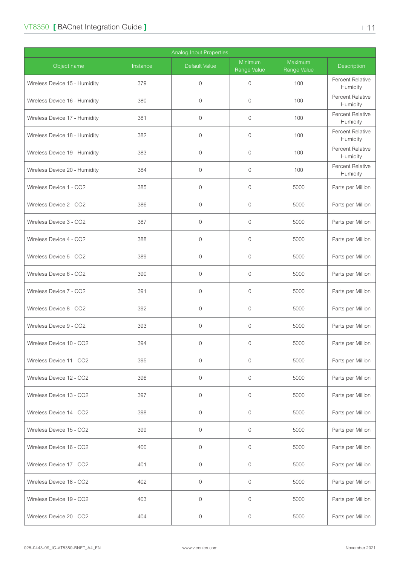### VT8350 **[ BACnet Integration Guide ]**  $\blacksquare$  | 11

| Analog Input Properties       |          |                      |                        |                        |                              |  |  |
|-------------------------------|----------|----------------------|------------------------|------------------------|------------------------------|--|--|
| Object name                   | Instance | <b>Default Value</b> | Minimum<br>Range Value | Maximum<br>Range Value | Description                  |  |  |
| Wireless Device 15 - Humidity | 379      | $\mathbf{0}$         | $\overline{0}$         | 100                    | Percent Relative<br>Humidity |  |  |
| Wireless Device 16 - Humidity | 380      | $\overline{0}$       | $\overline{0}$         | 100                    | Percent Relative<br>Humidity |  |  |
| Wireless Device 17 - Humidity | 381      | $\mathbf 0$          | $\mathbf 0$            | 100                    | Percent Relative<br>Humidity |  |  |
| Wireless Device 18 - Humidity | 382      | $\mathbf 0$          | $\mathbf 0$            | 100                    | Percent Relative<br>Humidity |  |  |
| Wireless Device 19 - Humidity | 383      | $\overline{0}$       | $\overline{0}$         | 100                    | Percent Relative<br>Humidity |  |  |
| Wireless Device 20 - Humidity | 384      | $\mathbf{0}$         | $\mathbf{0}$           | 100                    | Percent Relative<br>Humidity |  |  |
| Wireless Device 1 - CO2       | 385      | $\mathbf{0}$         | $\overline{0}$         | 5000                   | Parts per Million            |  |  |
| Wireless Device 2 - CO2       | 386      | $\mathbf{0}$         | $\overline{0}$         | 5000                   | Parts per Million            |  |  |
| Wireless Device 3 - CO2       | 387      | $\mathbf 0$          | $\mathbf 0$            | 5000                   | Parts per Million            |  |  |
| Wireless Device 4 - CO2       | 388      | $\mathbf{0}$         | $\overline{0}$         | 5000                   | Parts per Million            |  |  |
| Wireless Device 5 - CO2       | 389      | $\mathbf{0}$         | $\overline{0}$         | 5000                   | Parts per Million            |  |  |
| Wireless Device 6 - CO2       | 390      | $\mathbf{0}$         | $\overline{0}$         | 5000                   | Parts per Million            |  |  |
| Wireless Device 7 - CO2       | 391      | $\mathbf{0}$         | $\overline{0}$         | 5000                   | Parts per Million            |  |  |
| Wireless Device 8 - CO2       | 392      | $\mathbf{0}$         | $\mathbf 0$            | 5000                   | Parts per Million            |  |  |
| Wireless Device 9 - CO2       | 393      | $\mathbf{0}$         | $\overline{0}$         | 5000                   | Parts per Million            |  |  |
| Wireless Device 10 - CO2      | 394      | $\mathbf{0}$         | $\mathbf 0$            | 5000                   | Parts per Million            |  |  |
| Wireless Device 11 - CO2      | 395      | $\mathbf{0}$         | $\overline{0}$         | 5000                   | Parts per Million            |  |  |
| Wireless Device 12 - CO2      | 396      | $\mathbf{0}$         | $\mathbf 0$            | 5000                   | Parts per Million            |  |  |
| Wireless Device 13 - CO2      | 397      | $\mathbf 0$          | $\mathbf 0$            | 5000                   | Parts per Million            |  |  |
| Wireless Device 14 - CO2      | 398      | $\mathbf 0$          | $\mathbf 0$            | 5000                   | Parts per Million            |  |  |
| Wireless Device 15 - CO2      | 399      | $\mathbf 0$          | $\mathbf 0$            | 5000                   | Parts per Million            |  |  |
| Wireless Device 16 - CO2      | 400      | $\mathbf 0$          | $\mathbf 0$            | 5000                   | Parts per Million            |  |  |
| Wireless Device 17 - CO2      | 401      | $\mathbf{0}$         | $\overline{0}$         | 5000                   | Parts per Million            |  |  |
| Wireless Device 18 - CO2      | 402      | $\mathbf{0}$         | $\mathbf 0$            | 5000                   | Parts per Million            |  |  |
| Wireless Device 19 - CO2      | 403      | $\mathbf 0$          | $\mathbf 0$            | 5000                   | Parts per Million            |  |  |
| Wireless Device 20 - CO2      | 404      | $\mathbf 0$          | $\mathsf{O}\xspace$    | 5000                   | Parts per Million            |  |  |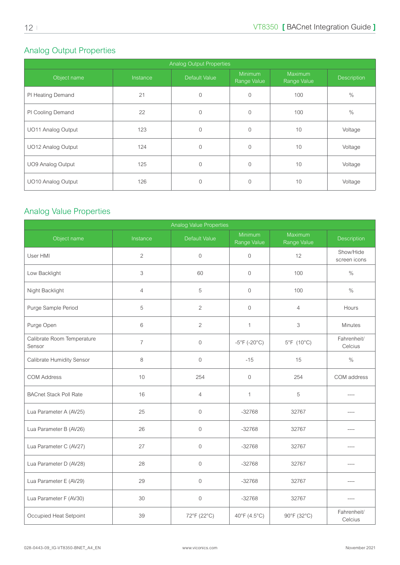## <span id="page-11-0"></span>Analog Output Properties

| <b>Analog Output Properties</b> |          |               |                               |                        |             |  |  |  |
|---------------------------------|----------|---------------|-------------------------------|------------------------|-------------|--|--|--|
| Object name                     | Instance | Default Value | <b>Minimum</b><br>Range Value | Maximum<br>Range Value | Description |  |  |  |
| PI Heating Demand               | 21       | $\Omega$      | $\Omega$                      | 100                    | $\%$        |  |  |  |
| PI Cooling Demand               | 22       | $\Omega$      | $\Omega$                      | 100                    | $\%$        |  |  |  |
| UO11 Analog Output              | 123      | $\Omega$      | $\Omega$                      | 10                     | Voltage     |  |  |  |
| UO12 Analog Output              | 124      | $\Omega$      | $\Omega$                      | 10                     | Voltage     |  |  |  |
| UO9 Analog Output               | 125      | $\Omega$      | $\Omega$                      | 10                     | Voltage     |  |  |  |
| UO10 Analog Output              | 126      | $\Omega$      | $\Omega$                      | 10                     | Voltage     |  |  |  |

## Analog Value Properties

| <b>Analog Value Properties</b>       |                |                |                                   |                        |                           |  |  |  |
|--------------------------------------|----------------|----------------|-----------------------------------|------------------------|---------------------------|--|--|--|
| Object name                          | Instance       | Default Value  | Minimum<br>Range Value            | Maximum<br>Range Value | Description               |  |  |  |
| User HMI                             | $\overline{2}$ | $\mathbf 0$    | $\mathbf 0$                       | 12                     | Show/Hide<br>screen icons |  |  |  |
| Low Backlight                        | 3              | 60             | $\mathbf 0$                       | 100                    | $\%$                      |  |  |  |
| Night Backlight                      | $\overline{4}$ | 5              | $\Omega$                          | 100                    | $\%$                      |  |  |  |
| Purge Sample Period                  | 5              | $\overline{2}$ | $\mathbf 0$                       | $\overline{4}$         | Hours                     |  |  |  |
| Purge Open                           | 6              | $\overline{2}$ | $\mathbf{1}$                      | 3                      | Minutes                   |  |  |  |
| Calibrate Room Temperature<br>Sensor | $\overline{7}$ | $\mathbf 0$    | $-5^{\circ}$ F (-20 $^{\circ}$ C) | 5°F (10°C)             | Fahrenheit/<br>Celcius    |  |  |  |
| Calibrate Humidity Sensor            | 8              | $\mathbf 0$    | $-15$                             | 15                     | $\%$                      |  |  |  |
| <b>COM Address</b>                   | 10             | 254            | $\mathbf 0$                       | 254                    | COM address               |  |  |  |
| <b>BACnet Stack Poll Rate</b>        | 16             | $\overline{4}$ | $\mathbf{1}$                      | 5                      |                           |  |  |  |
| Lua Parameter A (AV25)               | 25             | $\mathbf{0}$   | $-32768$                          | 32767                  | ----                      |  |  |  |
| Lua Parameter B (AV26)               | 26             | $\mathbf{0}$   | $-32768$                          | 32767                  |                           |  |  |  |
| Lua Parameter C (AV27)               | 27             | $\mathbf{0}$   | $-32768$                          | 32767                  |                           |  |  |  |
| Lua Parameter D (AV28)               | 28             | $\mathbf 0$    | $-32768$                          | 32767                  | ----                      |  |  |  |
| Lua Parameter E (AV29)               | 29             | $\mathbf{0}$   | $-32768$                          | 32767                  | ----                      |  |  |  |
| Lua Parameter F (AV30)               | 30             | $\mathbf{0}$   | $-32768$                          | 32767                  | $---$                     |  |  |  |
| Occupied Heat Setpoint               | 39             | 72°F (22°C)    | 40°F (4.5°C)                      | 90°F (32°C)            | Fahrenheit/<br>Celcius    |  |  |  |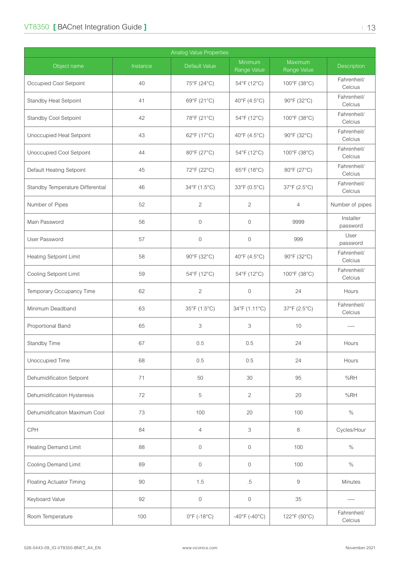| Analog Value Properties          |          |                       |                         |                        |                        |  |  |  |
|----------------------------------|----------|-----------------------|-------------------------|------------------------|------------------------|--|--|--|
| Object name                      | Instance | Default Value         | Minimum<br>Range Value  | Maximum<br>Range Value | Description            |  |  |  |
| Occupied Cool Setpoint           | 40       | 75°F (24°C)           | 54°F (12°C)             | 100°F (38°C)           | Fahrenheit/<br>Celcius |  |  |  |
| Standby Heat Setpoint            | 41       | 69°F (21°C)           | 40°F (4.5°C)            | 90°F (32°C)            | Fahrenheit/<br>Celcius |  |  |  |
| Standby Cool Setpoint            | 42       | 78°F (21°C)           | 54°F (12°C)             | 100°F (38°C)           | Fahrenheit/<br>Celcius |  |  |  |
| Unoccupied Heat Setpoint         | 43       | 62°F (17°C)           | 40°F (4.5°C)            | 90°F (32°C)            | Fahrenheit/<br>Celcius |  |  |  |
| Unoccupied Cool Setpoint         | 44       | 80°F (27°C)           | 54°F (12°C)             | 100°F (38°C)           | Fahrenheit/<br>Celcius |  |  |  |
| Default Heating Setpoint         | 45       | 72°F (22°C)           | 65°F (18°C)             | 80°F (27°C)            | Fahrenheit/<br>Celcius |  |  |  |
| Standby Temperature Differential | 46       | 34°F (1.5°C)          | 33°F (0.5°C)            | 37°F (2.5°C)           | Fahrenheit/<br>Celcius |  |  |  |
| Number of Pipes                  | 52       | $\overline{2}$        | 2                       | $\overline{4}$         | Number of pipes        |  |  |  |
| Main Password                    | 56       | $\mathbf 0$           | $\mathbf{0}$            | 9999                   | Installer<br>password  |  |  |  |
| User Password                    | 57       | 0                     | $\mathbf 0$             | 999                    | User<br>password       |  |  |  |
| <b>Heating Setpoint Limit</b>    | 58       | 90°F (32°C)           | 40°F (4.5°C)            | 90°F (32°C)            | Fahrenheit/<br>Celcius |  |  |  |
| Cooling Setpoint Limit           | 59       | 54°F (12°C)           | 54°F (12°C)             | 100°F (38°C)           | Fahrenheit/<br>Celcius |  |  |  |
| Temporary Occupancy Time         | 62       | 2                     | $\overline{0}$          | 24                     | Hours                  |  |  |  |
| Minimum Deadband                 | 63       | 35°F (1.5°C)          | 34°F (1.11°C)           | 37°F (2.5°C)           | Fahrenheit/<br>Celcius |  |  |  |
| Proportional Band                | 65       | 3                     | 3                       | 10                     |                        |  |  |  |
| Standby Time                     | 67       | 0.5                   | 0.5                     | 24                     | Hours                  |  |  |  |
| Unoccupied Time                  | 68       | 0.5                   | 0.5                     | 24                     | Hours                  |  |  |  |
| Dehumidification Setpoint        | 71       | 50                    | 30                      | 95                     | %RH                    |  |  |  |
| Dehumidification Hysteresis      | 72       | 5                     | $\overline{2}$          | 20                     | %RH                    |  |  |  |
| Dehumidification Maximum Cool    | 73       | 100                   | 20                      | 100                    | $\%$                   |  |  |  |
| CPH                              | 84       | $\overline{4}$        | 3                       | 8                      | Cycles/Hour            |  |  |  |
| <b>Heating Demand Limit</b>      | 88       | $\mathbf 0$           | $\mathbf{0}$            | 100                    | $\%$                   |  |  |  |
| Cooling Demand Limit             | 89       | $\mathbf 0$           | $\mathbf 0$             | 100                    | $\%$                   |  |  |  |
| <b>Floating Actuator Timing</b>  | 90       | 1.5                   | $.5\,$                  | $\hbox{9}$             | <b>Minutes</b>         |  |  |  |
| Keyboard Value                   | 92       | $\mathbf 0$           | $\mathbf 0$             | 35                     |                        |  |  |  |
| Room Temperature                 | 100      | $0^{\circ}$ F (-18°C) | $-40^{\circ}$ F (-40°C) | 122°F (50°C)           | Fahrenheit/<br>Celcius |  |  |  |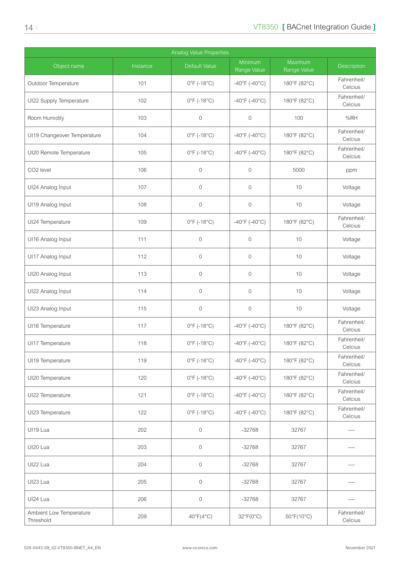| <b>Analog Value Properties</b>       |          |                                  |                         |                        |                        |  |  |
|--------------------------------------|----------|----------------------------------|-------------------------|------------------------|------------------------|--|--|
| Object name                          | Instance | Default Value                    | Minimum<br>Range Value  | Maximum<br>Range Value | Description            |  |  |
| Outdoor Temperature                  | 101      | $0^{\circ}$ F (-18 $^{\circ}$ C) | $-40^{\circ}$ F (-40°C) | 180°F (82°C)           | Fahrenheit/<br>Celcius |  |  |
| UI22 Supply Temperature              | 102      | $0^{\circ}$ F (-18 $^{\circ}$ C) | $-40^{\circ}$ F (-40°C) | 180°F (82°C)           | Fahrenheit/<br>Celcius |  |  |
| Room Humidity                        | 103      | $\boldsymbol{0}$                 | $\mathbf 0$             | 100                    | %RH                    |  |  |
| UI19 Changeover Temperature          | 104      | $0^{\circ}$ F (-18 $^{\circ}$ C) | $-40^{\circ}$ F (-40°C) | 180°F (82°C)           | Fahrenheit/<br>Celcius |  |  |
| UI20 Remote Temperature              | 105      | $0^{\circ}$ F (-18 $^{\circ}$ C) | $-40^{\circ}$ F (-40°C) | 180°F (82°C)           | Fahrenheit/<br>Celcius |  |  |
| CO2 level                            | 106      | $\mathbf 0$                      | $\mathbf{0}$            | 5000                   | ppm                    |  |  |
| UI24 Analog Input                    | 107      | $\mathbf 0$                      | $\overline{0}$          | 10                     | Voltage                |  |  |
| UI19 Analog Input                    | 108      | $\mathbf 0$                      | $\overline{0}$          | 10                     | Voltage                |  |  |
| UI24 Temperature                     | 109      | $0^{\circ}$ F (-18 $^{\circ}$ C) | $-40^{\circ}$ F (-40°C) | 180°F (82°C)           | Fahrenheit/<br>Celcius |  |  |
| UI16 Analog Input                    | 111      | $\mathbf 0$                      | $\overline{0}$          | 10                     | Voltage                |  |  |
| UI17 Analog Input                    | 112      | $\mathbf 0$                      | $\mathbf 0$             | 10                     | Voltage                |  |  |
| UI20 Analog Input                    | 113      | $\mathbf 0$                      | $\mathbf{0}$            | 10                     | Voltage                |  |  |
| UI22 Analog Input                    | 114      | $\mathbf 0$                      | $\mathbf{0}$            | 10                     | Voltage                |  |  |
| UI23 Analog Input                    | 115      | $\mathbf 0$                      | $\overline{0}$          | 10                     | Voltage                |  |  |
| UI16 Temperature                     | 117      | $0^{\circ}$ F (-18 $^{\circ}$ C) | $-40^{\circ}$ F (-40°C) | 180°F (82°C)           | Fahrenheit/<br>Celcius |  |  |
| UI17 Temperature                     | 118      | $0^{\circ}$ F (-18 $^{\circ}$ C) | $-40^{\circ}$ F (-40°C) | 180°F (82°C)           | Fahrenheit/<br>Celcius |  |  |
| UI19 Temperature                     | 119      | $0^{\circ}$ F (-18 $^{\circ}$ C) | $-40^{\circ}$ F (-40°C) | 180°F (82°C)           | Fahrenheit/<br>Celcius |  |  |
| UI20 Temperature                     | 120      | $0^{\circ}$ F (-18 $^{\circ}$ C) | $-40^{\circ}$ F (-40°C) | 180°F (82°C)           | Fahrenheit/<br>Celcius |  |  |
| UI22 Temperature                     | 121      | $0^{\circ}$ F (-18 $^{\circ}$ C) | $-40^{\circ}$ F (-40°C) | 180°F (82°C)           | Fahrenheit/<br>Celcius |  |  |
| UI23 Temperature                     | 122      | $0^{\circ}$ F (-18 $^{\circ}$ C) | $-40^{\circ}$ F (-40°C) | 180°F (82°C)           | Fahrenheit/<br>Celcius |  |  |
| UI19 Lua                             | 202      | $\boldsymbol{0}$                 | $-32768$                | 32767                  | ----                   |  |  |
| UI20 Lua                             | 203      | $\,0\,$                          | $-32768$                | 32767                  | ----                   |  |  |
| UI22 Lua                             | 204      | $\mathsf O$                      | $-32768$                | 32767                  | ----                   |  |  |
| UI23 Lua                             | 205      | $\mathbf 0$                      | $-32768$                | 32767                  |                        |  |  |
| UI24 Lua                             | 206      | $\mathbf 0$                      | $-32768$                | 32767                  |                        |  |  |
| Ambient Low Temperature<br>Threshold | 209      | $40^{\circ}F(4^{\circ}C)$        | 32°F(0°C)               | 50°F(10°C)             | Fahrenheit/<br>Celcius |  |  |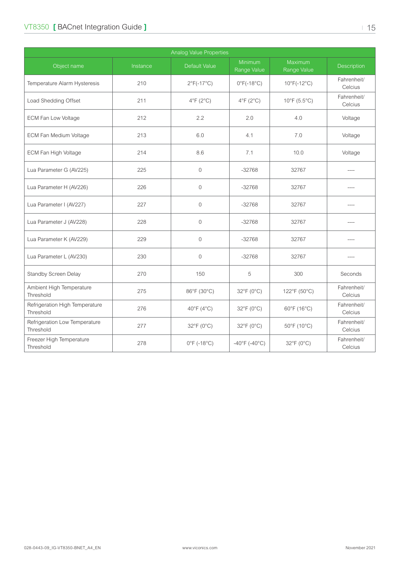### VT8350 **[ BACnet Integration Guide ]**  $\blacksquare$  | 15

| <b>Analog Value Properties</b>              |          |                                  |                                 |                                   |                        |  |  |
|---------------------------------------------|----------|----------------------------------|---------------------------------|-----------------------------------|------------------------|--|--|
| Object name                                 | Instance | Default Value                    | <b>Minimum</b><br>Range Value   | Maximum<br>Range Value            | Description            |  |  |
| Temperature Alarm Hysteresis                | 210      | $2^{\circ}F(-17^{\circ}C)$       | $0^{\circ}$ F(-18 $^{\circ}$ C) | $10^{\circ}$ F(-12°C)             | Fahrenheit/<br>Celcius |  |  |
| Load Shedding Offset                        | 211      | $4^{\circ}F(2^{\circ}C)$         | $4^{\circ}F(2^{\circ}C)$        | $10^{\circ}$ F (5.5 $^{\circ}$ C) | Fahrenheit/<br>Celcius |  |  |
| <b>ECM Fan Low Voltage</b>                  | 212      | 2.2                              | 2.0                             | 4.0                               | Voltage                |  |  |
| <b>ECM Fan Medium Voltage</b>               | 213      | 6.0                              | 4.1                             | 7.0                               | Voltage                |  |  |
| ECM Fan High Voltage                        | 214      | 8.6                              | 7.1                             | 10.0                              | Voltage                |  |  |
| Lua Parameter G (AV225)                     | 225      | $\overline{0}$                   | $-32768$                        | 32767                             | $---$                  |  |  |
| Lua Parameter H (AV226)                     | 226      | $\mathbf 0$                      | $-32768$                        | 32767                             | ----                   |  |  |
| Lua Parameter I (AV227)                     | 227      | $\mathbf 0$                      | $-32768$                        | 32767                             |                        |  |  |
| Lua Parameter J (AV228)                     | 228      | $\Omega$                         | $-32768$                        | 32767                             |                        |  |  |
| Lua Parameter K (AV229)                     | 229      | $\overline{0}$                   | $-32768$                        | 32767                             | ----                   |  |  |
| Lua Parameter L (AV230)                     | 230      | $\overline{0}$                   | $-32768$                        | 32767                             |                        |  |  |
| Standby Screen Delay                        | 270      | 150                              | 5                               | 300                               | Seconds                |  |  |
| Ambient High Temperature<br>Threshold       | 275      | 86°F (30°C)                      | 32°F (0°C)                      | 122°F (50°C)                      | Fahrenheit/<br>Celcius |  |  |
| Refrigeration High Temperature<br>Threshold | 276      | 40 $\degree$ F (4 $\degree$ C)   | $32^{\circ}F(0^{\circ}C)$       | 60°F (16°C)                       | Fahrenheit/<br>Celcius |  |  |
| Refrigeration Low Temperature<br>Threshold  | 277      | 32°F (0°C)                       | $32^{\circ}F(0^{\circ}C)$       | 50°F (10°C)                       | Fahrenheit/<br>Celcius |  |  |
| Freezer High Temperature<br>Threshold       | 278      | $0^{\circ}$ F (-18 $^{\circ}$ C) | $-40^{\circ}$ F (-40°C)         | 32°F (0°C)                        | Fahrenheit/<br>Celcius |  |  |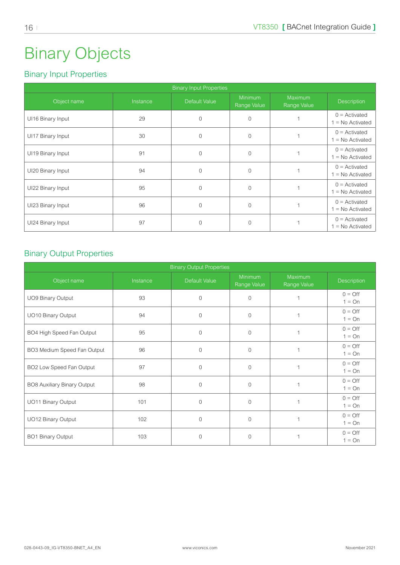## <span id="page-15-0"></span>Binary Objects

## Binary Input Properties

| <b>Binary Input Properties</b> |          |                |                               |                               |                                       |  |  |  |
|--------------------------------|----------|----------------|-------------------------------|-------------------------------|---------------------------------------|--|--|--|
| Object name                    | Instance | Default Value  | <b>Minimum</b><br>Range Value | <b>Maximum</b><br>Range Value | <b>Description</b>                    |  |  |  |
| UI16 Binary Input              | 29       | $\Omega$       | $\Omega$                      |                               | $0 =$ Activated<br>$1 = No$ Activated |  |  |  |
| UI17 Binary Input              | 30       | $\Omega$       | $\Omega$                      |                               | $0 =$ Activated<br>$1 = No$ Activated |  |  |  |
| UI19 Binary Input              | 91       | $\Omega$       | $\Omega$                      |                               | $0 =$ Activated<br>$1 = No$ Activated |  |  |  |
| UI20 Binary Input              | 94       | $\Omega$       | $\Omega$                      |                               | $0 =$ Activated<br>$1 = No$ Activated |  |  |  |
| UI22 Binary Input              | 95       | $\Omega$       | $\Omega$                      |                               | $0 =$ Activated<br>$1 = No$ Activated |  |  |  |
| UI23 Binary Input              | 96       | $\overline{0}$ | $\Omega$                      |                               | $0 =$ Activated<br>$1 = No$ Activated |  |  |  |
| UI24 Binary Input              | 97       | $\Omega$       | $\Omega$                      |                               | $0 =$ Activated<br>$1 = No$ Activated |  |  |  |

#### Binary Output Properties

| <b>Binary Output Properties</b> |          |                |                               |                        |                              |  |  |
|---------------------------------|----------|----------------|-------------------------------|------------------------|------------------------------|--|--|
| Object name                     | Instance | Default Value  | <b>Minimum</b><br>Range Value | Maximum<br>Range Value | <b>Description</b>           |  |  |
| UO9 Binary Output               | 93       | $\overline{0}$ | $\Omega$                      |                        | $0 = \text{Off}$<br>$1 = On$ |  |  |
| UO10 Binary Output              | 94       | $\mathbf{0}$   | $\mathbf{0}$                  | 1                      | $0 = \text{Off}$<br>$1 = On$ |  |  |
| BO4 High Speed Fan Output       | 95       | $\overline{0}$ | $\Omega$                      |                        | $0 = \text{Off}$<br>$1 = On$ |  |  |
| BO3 Medium Speed Fan Output     | 96       | $\mathbf{0}$   | $\Omega$                      | $\mathbf{1}$           | $0 = \text{Off}$<br>$1 = On$ |  |  |
| BO2 Low Speed Fan Output        | 97       | $\Omega$       | $\Omega$                      |                        | $0 = \text{Off}$<br>$1 = On$ |  |  |
| BO8 Auxiliary Binary Output     | 98       | $\overline{0}$ | $\Omega$                      | $\overline{1}$         | $0 = \text{Off}$<br>$1 = On$ |  |  |
| UO11 Binary Output              | 101      | $\Omega$       | $\Omega$                      |                        | $0 = \text{Off}$<br>$1 = On$ |  |  |
| UO12 Binary Output              | 102      | $\overline{0}$ | $\Omega$                      | $\overline{1}$         | $0 = \text{Off}$<br>$1 = On$ |  |  |
| BO1 Binary Output               | 103      | $\Omega$       | $\Omega$                      |                        | $0 = \text{Off}$<br>$1 = On$ |  |  |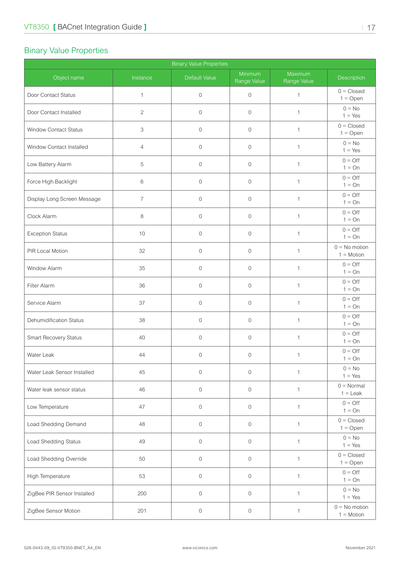### <span id="page-16-0"></span>Binary Value Properties

| <b>Binary Value Properties</b> |                |               |                        |                        |                                   |  |  |
|--------------------------------|----------------|---------------|------------------------|------------------------|-----------------------------------|--|--|
| Object name                    | Instance       | Default Value | Minimum<br>Range Value | Maximum<br>Range Value | Description                       |  |  |
| Door Contact Status            | 1              | $\mathbf{0}$  | $\mathbf 0$            | $\mathbf{1}$           | $0 = Closed$<br>$1 = Open$        |  |  |
| Door Contact Installed         | $\overline{2}$ | $\mathbf{0}$  | $\mathbf{0}$           | $\mathbf{1}$           | $0 = No$<br>$1 = Yes$             |  |  |
| Window Contact Status          | 3              | $\mathbf 0$   | $\mathbf{0}$           | $\mathbf{1}$           | $0 = Closed$<br>$1 = Open$        |  |  |
| Window Contact Installed       | $\overline{4}$ | $\mathbf 0$   | $\mathbf 0$            | $\mathbf{1}$           | $0 = No$<br>$1 = Yes$             |  |  |
| Low Battery Alarm              | 5              | $\mathbf 0$   | $\mathbf 0$            | $\mathbf{1}$           | $0 = \text{Off}$<br>$1 = On$      |  |  |
| Force High Backlight           | $\,6$          | $\mathbf 0$   | $\mathbf 0$            | $\mathbf{1}$           | $0 = \text{Off}$<br>$1 = On$      |  |  |
| Display Long Screen Message    | $\overline{7}$ | $\mathbf 0$   | $\mathbf 0$            | $\mathbf{1}$           | $0 = \text{Off}$<br>$1 = On$      |  |  |
| Clock Alarm                    | 8              | $\mathbf{0}$  | $\mathbf{0}$           | $\mathbf{1}$           | $0 = \text{Off}$<br>$1 = On$      |  |  |
| <b>Exception Status</b>        | 10             | $\mathbf{0}$  | $\mathbf{0}$           | $\mathbf{1}$           | $0 = \bigcirc$<br>$1 = On$        |  |  |
| PIR Local Motion               | 32             | $\mathbf{0}$  | $\mathbf 0$            | $\mathbf{1}$           | $0 = No$ motion<br>$1 = Motion$   |  |  |
| Window Alarm                   | 35             | $\mathbf 0$   | $\mathbf{0}$           | $\mathbf{1}$           | $0 = \text{Off}$<br>$1 = On$      |  |  |
| Filter Alarm                   | 36             | $\mathbf 0$   | $\mathbf 0$            | $\mathbf{1}$           | $0 = \text{Off}$<br>$1 = On$      |  |  |
| Service Alarm                  | 37             | $\mathbf 0$   | $\mathbf 0$            | $\mathbf{1}$           | $0 = \text{Off}$<br>$1 = On$      |  |  |
| <b>Dehumidification Status</b> | 38             | $\mathbf{0}$  | $\mathbf{0}$           | $\mathbf{1}$           | $0 = \text{Off}$<br>$1 = On$      |  |  |
| Smart Recovery Status          | 40             | $\mathbf 0$   | $\mathbf{0}$           | $\mathbf{1}$           | $0 = \bigcirc$<br>$1 = On$        |  |  |
| Water Leak                     | 44             | $\mathbf 0$   | $\mathbf 0$            | $\mathbf{1}$           | $0 = \text{Off}$<br>$1 = On$      |  |  |
| Water Leak Sensor Installed    | 45             | $\mathbf 0$   | $\mathbf 0$            | $\mathbf{1}$           | $0 = No$<br>$1 = Yes$             |  |  |
| Water leak sensor status       | 46             | $\mathbf 0$   | $\mathbf 0$            | $\mathbf{1}$           | $0 = \text{Normal}$<br>$1 =$ Leak |  |  |
| Low Temperature                | 47             | $\mathbf{0}$  | $\mathbf{0}$           | $\mathbf{1}$           | $0 = \text{Off}$<br>$1 = On$      |  |  |
| Load Shedding Demand           | 48             | $\mathbf{0}$  | $\mathbf{0}$           | $\mathbf{1}$           | $0 = Closed$<br>$1 = Open$        |  |  |
| Load Shedding Status           | 49             | $\mathbf 0$   | $\overline{0}$         | $\mathbf{1}$           | $0 = No$<br>$1 = Yes$             |  |  |
| Load Shedding Override         | 50             | $\mathbf 0$   | $\mathbf 0$            | $\mathbf{1}$           | $0 = Closed$<br>$1 = Open$        |  |  |
| High Temperature               | 53             | $\mathbf 0$   | $\mathbf 0$            | $\mathbf{1}$           | $0 = \text{Off}$<br>$1 = On$      |  |  |
| ZigBee PIR Sensor Installed    | 200            | $\mathbf 0$   | $\mathbf 0$            | $\mathbf{1}$           | $0 = No$<br>$1 = Yes$             |  |  |
| ZigBee Sensor Motion           | 201            | $\mathbb O$   | $\boldsymbol{0}$       | $\mathbf{1}$           | $0 = No$ motion<br>$1 = Motion$   |  |  |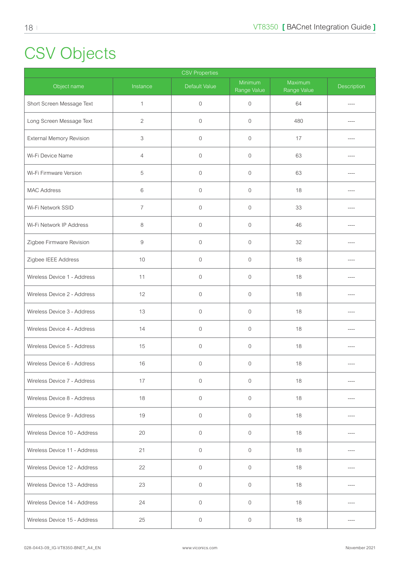# <span id="page-17-0"></span>CSV Objects

| <b>CSV Properties</b>        |                |                |                        |                        |             |  |  |
|------------------------------|----------------|----------------|------------------------|------------------------|-------------|--|--|
| Object name                  | Instance       | Default Value  | Minimum<br>Range Value | Maximum<br>Range Value | Description |  |  |
| Short Screen Message Text    | $\mathbf{1}$   | $\mathbf 0$    | $\mathbf 0$            | 64                     | ----        |  |  |
| Long Screen Message Text     | $\overline{c}$ | $\mathbf{0}$   | $\mathbf{0}$           | 480                    |             |  |  |
| External Memory Revision     | 3              | $\overline{0}$ | $\mathbf 0$            | 17                     |             |  |  |
| Wi-Fi Device Name            | $\overline{4}$ | $\overline{0}$ | $\mathbf 0$            | 63                     |             |  |  |
| Wi-Fi Firmware Version       | 5              | $\mathbf 0$    | $\mathbf 0$            | 63                     |             |  |  |
| <b>MAC Address</b>           | 6              | $\overline{0}$ | $\mathbf 0$            | 18                     |             |  |  |
| Wi-Fi Network SSID           | $\overline{7}$ | $\mathbf 0$    | $\mathbf 0$            | 33                     |             |  |  |
| Wi-Fi Network IP Address     | 8              | $\mathbf 0$    | $\mathbf 0$            | 46                     |             |  |  |
| Zigbee Firmware Revision     | 9              | $\mathbb O$    | $\mathbf 0$            | 32                     |             |  |  |
| Zigbee IEEE Address          | $10$           | $\mathbf{0}$   | $\mathbf 0$            | 18                     |             |  |  |
| Wireless Device 1 - Address  | 11             | $\overline{0}$ | $\mathbf 0$            | 18                     |             |  |  |
| Wireless Device 2 - Address  | 12             | $\mathbf 0$    | $\mathbf 0$            | 18                     |             |  |  |
| Wireless Device 3 - Address  | 13             | $\mathbf 0$    | $\mathbf 0$            | 18                     |             |  |  |
| Wireless Device 4 - Address  | 14             | $\mathbf{0}$   | $\mathbf 0$            | 18                     | ----        |  |  |
| Wireless Device 5 - Address  | 15             | $\mathbf 0$    | $\mathbf 0$            | 18                     |             |  |  |
| Wireless Device 6 - Address  | 16             | $\mathbf 0$    | $\mathbb O$            | 18                     |             |  |  |
| Wireless Device 7 - Address  | 17             | $\mathbb O$    | $\mathbf 0$            | 18                     |             |  |  |
| Wireless Device 8 - Address  | 18             | $\mathbf{0}$   | $\mathbf 0$            | 18                     |             |  |  |
| Wireless Device 9 - Address  | 19             | $\overline{0}$ | $\overline{0}$         | 18                     |             |  |  |
| Wireless Device 10 - Address | 20             | $\mathbb O$    | $\mathbf 0$            | 18                     |             |  |  |
| Wireless Device 11 - Address | 21             | $\mathbf 0$    | $\mathbf 0$            | 18                     |             |  |  |
| Wireless Device 12 - Address | 22             | $\mathbb O$    | $\overline{0}$         | 18                     |             |  |  |
| Wireless Device 13 - Address | 23             | $\overline{0}$ | $\mathbf 0$            | 18                     |             |  |  |
| Wireless Device 14 - Address | 24             | $\mathbf 0$    | $\overline{0}$         | 18                     |             |  |  |
| Wireless Device 15 - Address | 25             | $\mathbb O$    | $\mathsf O$            | 18                     |             |  |  |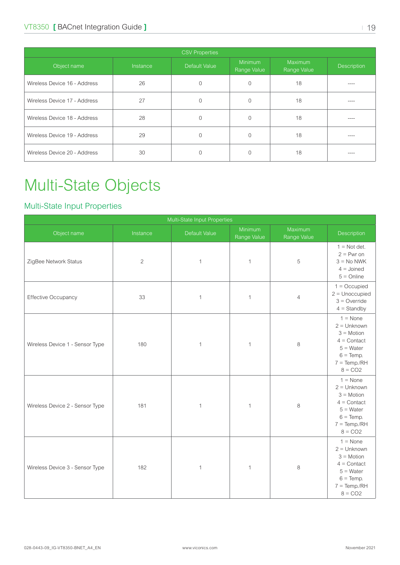<span id="page-18-0"></span>

| <b>CSV Properties</b>        |          |               |                        |                        |             |  |  |  |
|------------------------------|----------|---------------|------------------------|------------------------|-------------|--|--|--|
| Object name                  | Instance | Default Value | Minimum<br>Range Value | Maximum<br>Range Value | Description |  |  |  |
| Wireless Device 16 - Address | 26       | 0             | $\Omega$               | 18                     |             |  |  |  |
| Wireless Device 17 - Address | 27       | 0             |                        | 18                     | ----        |  |  |  |
| Wireless Device 18 - Address | 28       | $\Omega$      |                        | 18                     | ----        |  |  |  |
| Wireless Device 19 - Address | 29       | 0             |                        | 18                     | ----        |  |  |  |
| Wireless Device 20 - Address | 30       |               |                        | 18                     | ----        |  |  |  |

## Multi-State Objects

### Multi-State Input Properties

| Multi-State Input Properties    |                |               |                        |                        |                                                                                                                                 |  |
|---------------------------------|----------------|---------------|------------------------|------------------------|---------------------------------------------------------------------------------------------------------------------------------|--|
| Object name                     | Instance       | Default Value | Minimum<br>Range Value | Maximum<br>Range Value | Description                                                                                                                     |  |
| ZigBee Network Status           | $\overline{c}$ | $\mathbf{1}$  | 1                      | 5                      | $1 = Not det.$<br>$2 = Pwr on$<br>$3 = No NWK$<br>$4 =$ Joined<br>$5 =$ Online                                                  |  |
| Effective Occupancy             | 33             | $\mathbf{1}$  | 1                      | $\overline{4}$         | $1 = Occupied$<br>$2 =$ Unoccupied<br>$3 =$ Override<br>$4 =$ Standby                                                           |  |
| Wireless Device 1 - Sensor Type | 180            | $\mathbf{1}$  | $\mathbf{1}$           | 8                      | $1 = \text{None}$<br>$2 =$ Unknown<br>$3 = Motion$<br>$4 =$ Contact<br>$5 = Water$<br>$6 = Temp.$<br>$7 = Temp/RH$<br>$8 = CO2$ |  |
| Wireless Device 2 - Sensor Type | 181            | $\mathbf{1}$  | 1                      | $\,8\,$                | $1 = \text{None}$<br>$2 =$ Unknown<br>$3 = Motion$<br>$4 =$ Contact<br>$5 = Water$<br>$6 = Temp.$<br>$7 = Temp/RH$<br>$8 = CO2$ |  |
| Wireless Device 3 - Sensor Type | 182            | $\mathbf{1}$  | 1                      | 8                      | $1 = \text{None}$<br>$2 =$ Unknown<br>$3 = Motion$<br>$4 =$ Contact<br>$5 = Water$<br>$6 = Temp.$<br>$7 = Temp/RH$<br>$8 = CO2$ |  |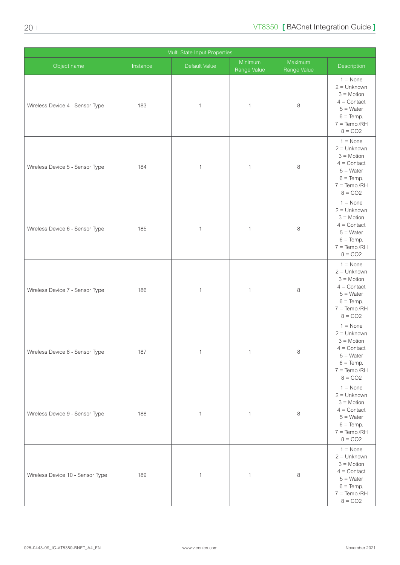| Multi-State Input Properties     |          |               |                        |                                  |                                                                                                                                  |  |  |
|----------------------------------|----------|---------------|------------------------|----------------------------------|----------------------------------------------------------------------------------------------------------------------------------|--|--|
| Object name                      | Instance | Default Value | Minimum<br>Range Value | Maximum<br>Range Value           | Description                                                                                                                      |  |  |
| Wireless Device 4 - Sensor Type  | 183      | $\mathbf{1}$  | $\mathbf 1$            | $\,8\,$                          | $1 = \text{None}$<br>$2 =$ Unknown<br>$3 = Motion$<br>$4 =$ Contact<br>$5 = Water$<br>$6 = Temp.$<br>$7 = Temp./RH$<br>$8 = CO2$ |  |  |
| Wireless Device 5 - Sensor Type  | 184      | $\mathbf{1}$  | $\mathbf{1}$           | 8                                | $1 = \text{None}$<br>$2 =$ Unknown<br>$3 = Motion$<br>$4 =$ Contact<br>$5 = Water$<br>$6 = Temp.$<br>$7 = Temp./RH$<br>$8 = CO2$ |  |  |
| Wireless Device 6 - Sensor Type  | 185      | $\mathbf{1}$  | $\mathbf{1}$           | $\,8\,$                          | $1 = \text{None}$<br>$2 =$ Unknown<br>$3 = Motion$<br>$4 =$ Contact<br>$5 = Water$<br>$6 = Temp.$<br>$7 = Temp/RH$<br>$8 = CO2$  |  |  |
| Wireless Device 7 - Sensor Type  | 186      | $\mathbf{1}$  | $\mathbf{1}$           | $\,8\,$                          | $1 = \text{None}$<br>$2 =$ Unknown<br>$3 = Motion$<br>$4 =$ Contact<br>$5 = Water$<br>$6 = Temp.$<br>$7 = Temp/RH$<br>$8 = CO2$  |  |  |
| Wireless Device 8 - Sensor Type  | 187      | $\mathbf{1}$  | $\mathbf{1}$           | $\,8\,$                          | $1 = \text{None}$<br>$2 =$ Unknown<br>$3 = Motion$<br>$4 =$ Contact<br>$5 = Water$<br>$6 = Temp.$<br>$7 = Temp/RH$<br>$8 = CO2$  |  |  |
| Wireless Device 9 - Sensor Type  | 188      | $\mathbf{1}$  | $\mathbf{1}$           | 8                                | $1 = \text{None}$<br>$2 =$ Unknown<br>$3 = Motion$<br>$4 =$ Contact<br>$5 = Water$<br>$6 = Temp$ .<br>$7 = Temp/RH$<br>$8 = CO2$ |  |  |
| Wireless Device 10 - Sensor Type | 189      | $\mathbf{1}$  | $\mathbf{1}$           | $\begin{array}{c} 8 \end{array}$ | $1 = \text{None}$<br>$2 =$ Unknown<br>$3 = Motion$<br>$4 =$ Contact<br>$5 = Water$<br>$6 = Temp.$<br>$7 = Temp./RH$<br>$8 = CO2$ |  |  |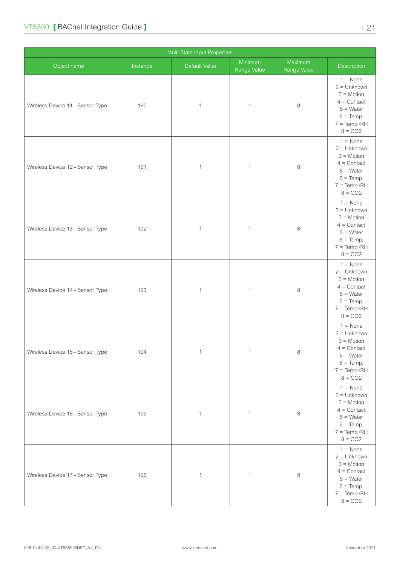| Multi-State Input Properties     |          |               |                        |                        |                                                                                                                                   |  |  |
|----------------------------------|----------|---------------|------------------------|------------------------|-----------------------------------------------------------------------------------------------------------------------------------|--|--|
| Object name                      | Instance | Default Value | Minimum<br>Range Value | Maximum<br>Range Value | Description                                                                                                                       |  |  |
| Wireless Device 11 - Sensor Type | 190      | $\mathbf{1}$  | $\mathbf 1$            | $\,8\,$                | $1 = \text{None}$<br>$2 =$ Unknown<br>$3 = Motion$<br>$4 =$ Contact<br>$5 = Water$<br>$6 = Temp$ .<br>$7 = Temp./RH$<br>$8 = CO2$ |  |  |
| Wireless Device 12 - Sensor Type | 191      | $\mathbf{1}$  | $\mathbf 1$            | $\,8\,$                | $1 = \text{None}$<br>$2 =$ Unknown<br>$3 = Motion$<br>$4 =$ Contact<br>$5 = Water$<br>$6 = Temp.$<br>$7 = Temp/RH$<br>$8 = CO2$   |  |  |
| Wireless Device 13 - Sensor Type | 192      | $\mathbf{1}$  | $\mathbf 1$            | $\,8\,$                | $1 = \text{None}$<br>$2 =$ Unknown<br>$3 = Motion$<br>$4 =$ Contact<br>$5 = Water$<br>$6 = Temp.$<br>$7 = Temp./RH$<br>$8 = CO2$  |  |  |
| Wireless Device 14 - Sensor Type | 193      | $\mathbf{1}$  | $\mathbf{1}$           | $\,8\,$                | $1 = \text{None}$<br>$2 =$ Unknown<br>$3 = Motion$<br>$4 =$ Contact<br>$5 = Water$<br>$6 = Temp.$<br>$7 = Temp./RH$<br>$8 = CO2$  |  |  |
| Wireless Device 15 - Sensor Type | 194      | $\mathbf{1}$  | $\mathbf{1}$           | $\,8\,$                | $1 = \text{None}$<br>$2 =$ Unknown<br>$3 = Motion$<br>$4 =$ Contact<br>$5 = Water$<br>$6 = Temp.$<br>$7 = Temp./RH$<br>$8 = CO2$  |  |  |
| Wireless Device 16 - Sensor Type | 195      | $\mathbf{1}$  | $\mathbf{1}$           | 8                      | $1 = \text{None}$<br>$2 =$ Unknown<br>$3 = Motion$<br>$4 =$ Contact<br>$5 = Water$<br>$6 = Temp.$<br>$7 = Temp/RH$<br>$8 = CO2$   |  |  |
| Wireless Device 17 - Sensor Type | 196      | $\mathbf{1}$  | $\mathbf{1}$           | 8                      | $1 = \text{None}$<br>$2 =$ Unknown<br>$3 = Motion$<br>$4 =$ Contact<br>$5 = Water$<br>$6 = Temp.$<br>$7 = Temp./RH$<br>$8 = CO2$  |  |  |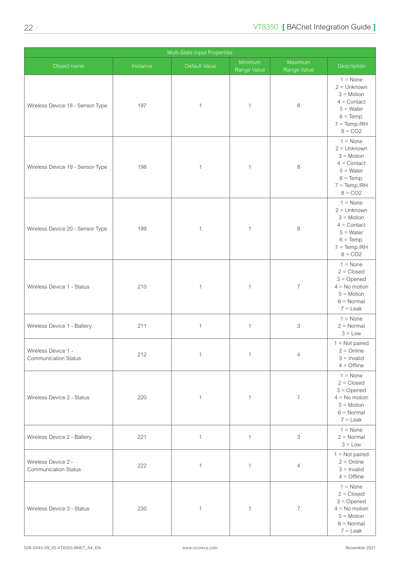| Multi-State Input Properties                       |          |               |                        |                          |                                                                                                                                   |  |
|----------------------------------------------------|----------|---------------|------------------------|--------------------------|-----------------------------------------------------------------------------------------------------------------------------------|--|
| Object name                                        | Instance | Default Value | Minimum<br>Range Value | Maximum<br>Range Value   | Description                                                                                                                       |  |
| Wireless Device 18 - Sensor Type                   | 197      | $\mathbf{1}$  | $\mathbf 1$            | $\,8\,$                  | $1 = \text{None}$<br>$2 =$ Unknown<br>$3 = Motion$<br>$4 =$ Contact<br>$5 = Water$<br>$6 = Temp$ .<br>$7 = Temp./RH$<br>$8 = CO2$ |  |
| Wireless Device 19 - Sensor Type                   | 198      | $\mathbf{1}$  | 1                      | 8                        | $1 = \text{None}$<br>$2 =$ Unknown<br>$3 = Motion$<br>$4 =$ Contact<br>$5 = Water$<br>$6 = Temp.$<br>$7 = Temp/RH$<br>$8 = CO2$   |  |
| Wireless Device 20 - Sensor Type                   | 199      | $\mathbf{1}$  | $\mathbf 1$            | 8                        | $1 = \text{None}$<br>$2 =$ Unknown<br>$3 = Motion$<br>$4 =$ Contact<br>$5 = Water$<br>$6 = Temp.$<br>$7 = Temp/RH$<br>$8 = CO2$   |  |
| Wireless Device 1 - Status                         | 210      | $\mathbf{1}$  | $\mathbf 1$            | $\overline{7}$           | $1 = \text{None}$<br>$2 = Closed$<br>$3 =$ Opened<br>$4 = No$ motion<br>$5 =$ Motion<br>$6 =$ Normal<br>$7 =$ Leak                |  |
| Wireless Device 1 - Battery                        | 211      | $\mathbf{1}$  | $\mathbf{1}$           | 3                        | $1 = \text{None}$<br>$2 = Normal$<br>$3 = Low$                                                                                    |  |
| Wireless Device 1 -<br><b>Communication Status</b> | 212      | $\mathbf{1}$  | $\mathbf{1}$           | $\overline{4}$           | $1 = Not paired$<br>$2 =$ Online<br>$3 =$ Invalid<br>$4 =$ Offline                                                                |  |
| Wireless Device 2 - Status                         | 220      | $\mathbf{1}$  | $\mathbf{1}$           | $\overline{7}$           | $1 = \text{None}$<br>$2 = Closed$<br>$3 =$ Opened<br>$4 = No$ motion<br>$5 = Motion$<br>$6 =$ Normal<br>$7 =$ Leak                |  |
| Wireless Device 2 - Battery                        | 221      | $\mathbf{1}$  | $\mathbf{1}$           | 3                        | $1 = \text{None}$<br>$2 = Normal$<br>$3 = Low$                                                                                    |  |
| Wireless Device 2 -<br><b>Communication Status</b> | 222      | $\mathbf{1}$  | $\mathbf{1}$           | $\overline{4}$           | $1 = Not paired$<br>$2 =$ Online<br>$3 =$ Invalid<br>$4 =$ Offline                                                                |  |
| Wireless Device 3 - Status                         | 230      | $\mathbf{1}$  | 1                      | $\overline{\mathcal{I}}$ | $1 = \text{None}$<br>$2 = Closed$<br>$3 =$ Opened<br>$4 = No$ motion<br>$5 = Motion$<br>$6 =$ Normal<br>$7 =$ Leak                |  |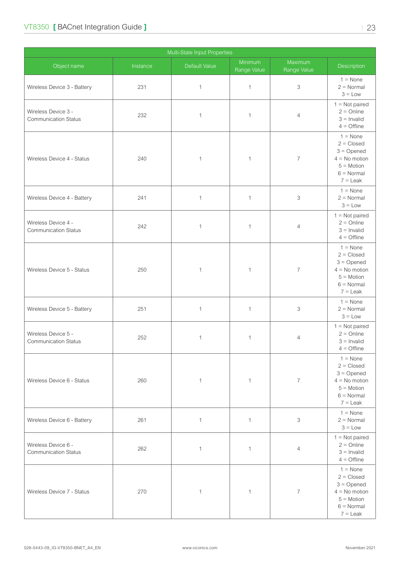| Multi-State Input Properties                       |          |               |                        |                        |                                                                                                                           |  |  |
|----------------------------------------------------|----------|---------------|------------------------|------------------------|---------------------------------------------------------------------------------------------------------------------------|--|--|
| Object name                                        | Instance | Default Value | Minimum<br>Range Value | Maximum<br>Range Value | Description                                                                                                               |  |  |
| Wireless Device 3 - Battery                        | 231      | $\mathbf{1}$  | $\mathbf{1}$           | 3                      | $1 = \text{None}$<br>$2 = Normal$<br>$3 = Low$                                                                            |  |  |
| Wireless Device 3 -<br><b>Communication Status</b> | 232      | $\mathbf{1}$  | $\mathbf{1}$           | $\overline{4}$         | $1 = Not paired$<br>$2 =$ Online<br>$3 =$ Invalid<br>$4 =$ Offline                                                        |  |  |
| Wireless Device 4 - Status                         | 240      | $\mathbf{1}$  | 1                      | $\overline{7}$         | $1 = \text{None}$<br>$2 = Closed$<br>$3 =$ Opened<br>$4 = No$ motion<br>$5 = Motion$<br>$6 = \text{Normal}$<br>$7 =$ Leak |  |  |
| Wireless Device 4 - Battery                        | 241      | $\mathbf{1}$  | $\mathbf{1}$           | 3                      | $1 = \text{None}$<br>$2 = Normal$<br>$3 = Low$                                                                            |  |  |
| Wireless Device 4 -<br><b>Communication Status</b> | 242      | $\mathbf 1$   | 1                      | $\overline{4}$         | $1 = Not paired$<br>$2 =$ Online<br>$3 =$ Invalid<br>$4 =$ Offline                                                        |  |  |
| Wireless Device 5 - Status                         | 250      | $\mathbf{1}$  | 1                      | $\overline{7}$         | $1 = \text{None}$<br>$2 = Closed$<br>$3 =$ Opened<br>$4 = No$ motion<br>$5 = Motion$<br>$6 = \text{Normal}$<br>$7 =$ Leak |  |  |
| Wireless Device 5 - Battery                        | 251      | $\mathbf{1}$  | $\mathbf{1}$           | 3                      | $1 = \text{None}$<br>$2 = Normal$<br>$3 = Low$                                                                            |  |  |
| Wireless Device 5 -<br><b>Communication Status</b> | 252      | 1             | 1                      | 4                      | $1 = Not paired$<br>$2 =$ Online<br>$3 =$ Invalid<br>$4 =$ Offline                                                        |  |  |
| Wireless Device 6 - Status                         | 260      | $\mathbf{1}$  | $\mathbf{1}$           | $\overline{7}$         | $1 = \text{None}$<br>$2 = Closed$<br>$3 =$ Opened<br>$4 = No$ motion<br>$5 = Motion$<br>$6 = \text{Normal}$<br>$7 =$ Leak |  |  |
| Wireless Device 6 - Battery                        | 261      | $\mathbf{1}$  | $\mathbf{1}$           | 3                      | $1 = \text{None}$<br>$2 = Normal$<br>$3 = Low$                                                                            |  |  |
| Wireless Device 6 -<br><b>Communication Status</b> | 262      | $\mathbf{1}$  | $\mathbf{1}$           | $\overline{4}$         | $1 = Not paired$<br>$2 =$ Online<br>$3 =$ Invalid<br>$4 =$ Offline                                                        |  |  |
| Wireless Device 7 - Status                         | 270      | $\mathbf{1}$  | $\mathbf{1}$           | $\overline{7}$         | $1 = \text{None}$<br>$2 = Closed$<br>$3 =$ Opened<br>$4 = No$ motion<br>$5 = Motion$<br>$6 = Normal$<br>$7 =$ Leak        |  |  |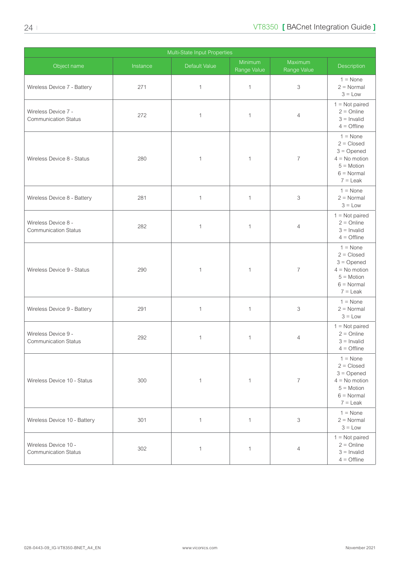| Multi-State Input Properties                        |          |                      |                        |                        |                                                                                                                    |  |  |
|-----------------------------------------------------|----------|----------------------|------------------------|------------------------|--------------------------------------------------------------------------------------------------------------------|--|--|
| Object name                                         | Instance | <b>Default Value</b> | Minimum<br>Range Value | Maximum<br>Range Value | Description                                                                                                        |  |  |
| Wireless Device 7 - Battery                         | 271      | $\mathbf{1}$         | $\mathbf{1}$           | 3                      | $1 = \text{None}$<br>$2 = Normal$<br>$3 = Low$                                                                     |  |  |
| Wireless Device 7 -<br><b>Communication Status</b>  | 272      | $\mathbf{1}$         | $\mathbf{1}$           | $\overline{4}$         | $1 = Not paired$<br>$2 =$ Online<br>$3 =$ Invalid<br>$4 =$ Offline                                                 |  |  |
| Wireless Device 8 - Status                          | 280      | $\mathbf 1$          | $\mathbf{1}$           | $\overline{7}$         | $1 = \text{None}$<br>$2 = Closed$<br>$3 =$ Opened<br>$4 = No$ motion<br>$5 = Motion$<br>$6 = Normal$<br>$7 =$ Leak |  |  |
| Wireless Device 8 - Battery                         | 281      | $\mathbf{1}$         | $\mathbf{1}$           | 3                      | $1 = \text{None}$<br>$2 = Normal$<br>$3 = Low$                                                                     |  |  |
| Wireless Device 8 -<br><b>Communication Status</b>  | 282      | $\mathbf 1$          | 1                      | $\overline{4}$         | $1 = Not paired$<br>$2 =$ Online<br>$3 =$ Invalid<br>$4 =$ Offline                                                 |  |  |
| Wireless Device 9 - Status                          | 290      | $\mathbf 1$          | 1                      | $\overline{7}$         | $1 = \text{None}$<br>$2 = Closed$<br>$3 =$ Opened<br>$4 = No$ motion<br>$5 = Motion$<br>$6 = Normal$<br>$7 =$ Leak |  |  |
| Wireless Device 9 - Battery                         | 291      | $\mathbf{1}$         | $\mathbf{1}$           | 3                      | $1 = \text{None}$<br>$2 = Normal$<br>$3 = Low$                                                                     |  |  |
| Wireless Device 9 -<br><b>Communication Status</b>  | 292      | 1                    | 1                      | 4                      | $1 = Not paired$<br>$2 =$ Online<br>$3 =$ Invalid<br>$4 =$ Offline                                                 |  |  |
| Wireless Device 10 - Status                         | 300      | $\mathbf{1}$         | $\mathbf{1}$           | $\overline{7}$         | $1 = \text{None}$<br>$2 = Closed$<br>$3 =$ Opened<br>$4 = No$ motion<br>$5 = Motion$<br>$6 = Normal$<br>$7 =$ Leak |  |  |
| Wireless Device 10 - Battery                        | 301      | $\mathbf{1}$         | $\mathbf{1}$           | 3                      | $1 = \text{None}$<br>$2 = Normal$<br>$3 = Low$                                                                     |  |  |
| Wireless Device 10 -<br><b>Communication Status</b> | 302      | $\mathbf{1}$         | $\mathbf{1}$           | $\overline{4}$         | $1 = Not paired$<br>$2 =$ Online<br>$3 =$ Invalid<br>$4 =$ Offline                                                 |  |  |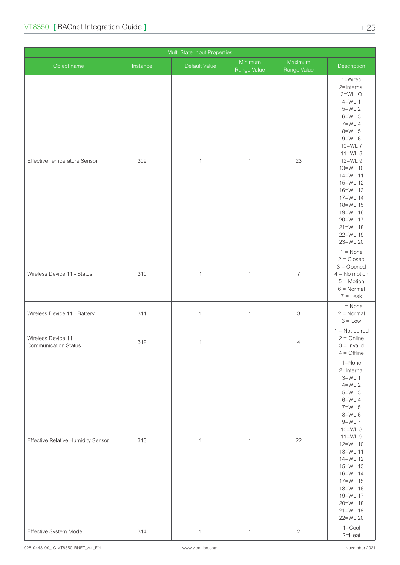| Multi-State Input Properties                        |          |               |                        |                        |                                                                                                                                                                                                                                                                                 |  |  |
|-----------------------------------------------------|----------|---------------|------------------------|------------------------|---------------------------------------------------------------------------------------------------------------------------------------------------------------------------------------------------------------------------------------------------------------------------------|--|--|
| Object name                                         | Instance | Default Value | Minimum<br>Range Value | Maximum<br>Range Value | Description                                                                                                                                                                                                                                                                     |  |  |
| Effective Temperature Sensor                        | 309      | $\mathbf{1}$  | $\mathbf{1}$           | 23                     | 1=Wired<br>2=Internal<br>3=WLIO<br>$4=WL$ 1<br>$5=WL$ 2<br>$6=WL$ 3<br>7=WL 4<br>$8=WL$ 5<br>$9=WL$ 6<br>10=WL 7<br>$11=WL8$<br>12=WL 9<br>13=WL 10<br>14=WL 11<br>15=WL 12<br>16=WL 13<br>17=WL 14<br>18=WL 15<br>19=WL 16<br>20=WL 17<br>$21 = WL$ 18<br>22=WL 19<br>23=WL 20 |  |  |
| Wireless Device 11 - Status                         | 310      | $\mathbf 1$   | $\mathbf{1}$           | $\boldsymbol{7}$       | $1 = \text{None}$<br>$2 = Closed$<br>$3 =$ Opened<br>$4 = No$ motion<br>$5 = Motion$<br>$6 =$ Normal<br>$7 =$ Leak                                                                                                                                                              |  |  |
| Wireless Device 11 - Battery                        | 311      | $\mathbf{1}$  | $\mathbf{1}$           | 3                      | $1 = \text{None}$<br>$2 = Normal$<br>$3 = Low$                                                                                                                                                                                                                                  |  |  |
| Wireless Device 11 -<br><b>Communication Status</b> | 312      | $\mathbf{1}$  | $\mathbf{1}$           | $\overline{4}$         | $1 = Not$ paired<br>$2 =$ Online<br>$3 =$ Invalid<br>$4 =$ Offline                                                                                                                                                                                                              |  |  |
| <b>Effective Relative Humidity Sensor</b>           | 313      | $\mathbf 1$   | $\mathbf{1}$           | 22                     | 1=None<br>2=Internal<br>$3=WL$ 1<br>$4=WL$ 2<br>$5=WL$ 3<br>$6=WL$ 4<br>$7=WL$ 5<br>$8=$ WL 6<br>$9=WL$ 7<br>10=WL 8<br>$11=WL9$<br>12=WL 10<br>13=WL 11<br>14=WL 12<br>15=WL 13<br>16=WL 14<br>17=WL 15<br>18=WL 16<br>19=WL 17<br>20=WL 18<br>21=WL 19<br>22=WL 20            |  |  |
| Effective System Mode                               | 314      | $\mathbf{1}$  | $\mathbf{1}$           | $\mathbf{2}$           | $1 =$ Cool<br>$2$ =Heat                                                                                                                                                                                                                                                         |  |  |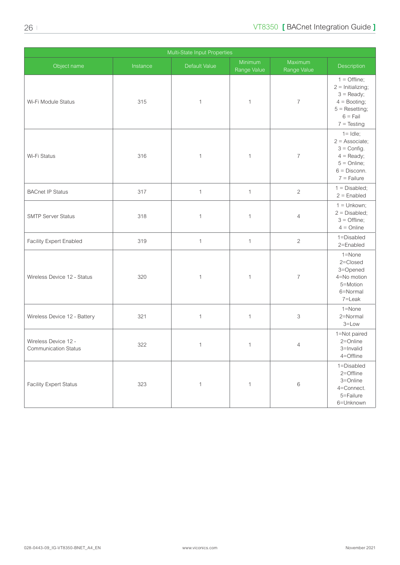| Multi-State Input Properties                        |          |               |                        |                        |                                                                                                                                   |  |  |
|-----------------------------------------------------|----------|---------------|------------------------|------------------------|-----------------------------------------------------------------------------------------------------------------------------------|--|--|
| Object name                                         | Instance | Default Value | Minimum<br>Range Value | Maximum<br>Range Value | Description                                                                                                                       |  |  |
| Wi-Fi Module Status                                 | 315      | $\mathbf{1}$  | 1                      | $\overline{7}$         | $1 = \text{Offline};$<br>$2 =$ Initializing;<br>$3 =$ Ready;<br>$4 =$ Booting;<br>$5 =$ Resetting;<br>$6 =$ Fail<br>$7 = Testing$ |  |  |
| Wi-Fi Status                                        | 316      | $\mathbf 1$   | 1                      | $\overline{7}$         | $1 =$ Idle;<br>$2 =$ Associate;<br>$3 =$ Config.<br>$4 =$ Ready;<br>$5 =$ Online;<br>$6 =$ Disconn.<br>$7 =$ Failure              |  |  |
| <b>BACnet IP Status</b>                             | 317      | $\mathbf{1}$  | $\mathbf{1}$           | $\sqrt{2}$             | $1 = Disabled;$<br>$2 =$ Enabled                                                                                                  |  |  |
| <b>SMTP Server Status</b>                           | 318      | $\mathbf 1$   | 1                      | $\overline{4}$         | $1 =$ Unkown;<br>$2 = Disabled$ ;<br>$3 =$ Offline;<br>$4 =$ Online                                                               |  |  |
| Facility Expert Enabled                             | 319      | $\mathbf{1}$  | $\mathbf{1}$           | $\overline{c}$         | 1=Disabled<br>2=Enabled                                                                                                           |  |  |
| Wireless Device 12 - Status                         | 320      | $\mathbf 1$   | $\mathbf 1$            | $\overline{7}$         | 1=None<br>2=Closed<br>3=Opened<br>4=No motion<br>5=Motion<br>6=Normal<br>7=Leak                                                   |  |  |
| Wireless Device 12 - Battery                        | 321      | $\mathbf{1}$  | $\mathbf{1}$           | 3                      | 1=None<br>2=Normal<br>$3 = Low$                                                                                                   |  |  |
| Wireless Device 12 -<br><b>Communication Status</b> | 322      | 1             | 1                      | 4                      | 1=Not paired<br>2=Online<br>3=Invalid<br>4=Offline                                                                                |  |  |
| <b>Facility Expert Status</b>                       | 323      | $\mathbf{1}$  | $\mathbf{1}$           | $\,6$                  | 1=Disabled<br>2=Offline<br>3=Online<br>4=Connect.<br>5=Failure<br>6=Unknown                                                       |  |  |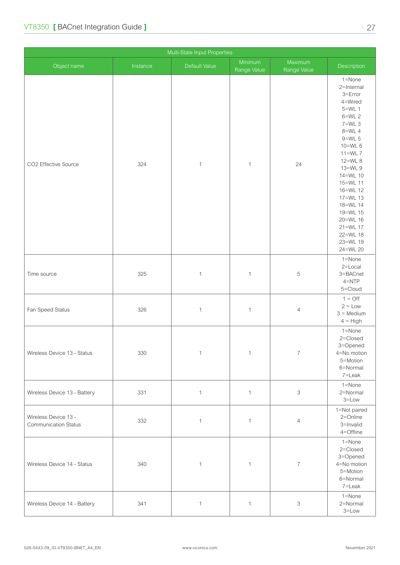| Multi-State Input Properties                        |          |               |                        |                           |                                                                                                                                                                                                                                                                                              |  |  |
|-----------------------------------------------------|----------|---------------|------------------------|---------------------------|----------------------------------------------------------------------------------------------------------------------------------------------------------------------------------------------------------------------------------------------------------------------------------------------|--|--|
| Object name                                         | Instance | Default Value | Minimum<br>Range Value | Maximum<br>Range Value    | Description                                                                                                                                                                                                                                                                                  |  |  |
| CO2 Effective Source                                | 324      | $\mathbf{1}$  | $\mathbf{1}$           | 24                        | 1=None<br>2=Internal<br>$3 = Error$<br>4=Wired<br>$5=WL$ 1<br>$6=WL$ 2<br>$7=WL$ 3<br>8=WL 4<br>$9=WL$ 5<br>10=WL 6<br>$11=WL$ $7$<br>12=WL 8<br>13=WL 9<br>14=WL 10<br>15=WL 11<br>16=WL 12<br>17=WL 13<br>18=WL 14<br>19=WL 15<br>20=WL 16<br>21=WL 17<br>22=WL 18<br>23=WL 19<br>24=WL 20 |  |  |
| Time source                                         | 325      | $\mathbf{1}$  | $\mathbf{1}$           | $\mathbf 5$               | 1=None<br>2=Local<br>3=BACnet<br>$4 = NTP$<br>5=Cloud                                                                                                                                                                                                                                        |  |  |
| Fan Speed Status                                    | 326      | $\mathbf{1}$  | $\mathbf{1}$           | 4                         | $1 = \bigcirc$<br>$2 = Low$<br>$3 =$ Medium<br>$4 = High$                                                                                                                                                                                                                                    |  |  |
| Wireless Device 13 - Status                         | 330      | $\mathbf 1$   | $\mathbf{1}$           | $\overline{\mathcal{I}}$  | 1=None<br>2=Closed<br>3=Opened<br>4=No motion<br>5=Motion<br>6=Normal<br>7=Leak                                                                                                                                                                                                              |  |  |
| Wireless Device 13 - Battery                        | 331      | $\mathbf{1}$  | $\mathbf{1}$           | $\ensuremath{\mathsf{3}}$ | 1=None<br>2=Normal<br>$3 = Low$                                                                                                                                                                                                                                                              |  |  |
| Wireless Device 13 -<br><b>Communication Status</b> | 332      | $\mathbf{1}$  | $\mathbf{1}$           | $\overline{4}$            | 1=Not paired<br>2=Online<br>3=Invalid<br>4=Offline                                                                                                                                                                                                                                           |  |  |
| Wireless Device 14 - Status                         | 340      | $\mathbf{1}$  | $\mathbf{1}$           | $\overline{\mathcal{I}}$  | 1=None<br>2=Closed<br>3=Opened<br>4=No motion<br>5=Motion<br>6=Normal<br>7=Leak                                                                                                                                                                                                              |  |  |
| Wireless Device 14 - Battery                        | 341      | $\mathbf{1}$  | $\mathbf{1}$           | $\ensuremath{\mathsf{3}}$ | $1 =$ None<br>2=Normal<br>$3 = Low$                                                                                                                                                                                                                                                          |  |  |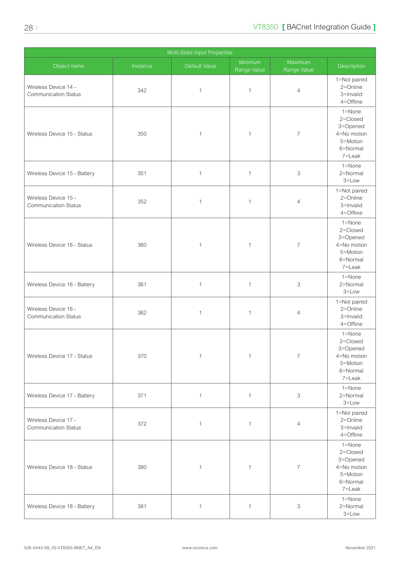|                                                     |          | Multi-State Input Properties |                        |                           |                                                                                     |
|-----------------------------------------------------|----------|------------------------------|------------------------|---------------------------|-------------------------------------------------------------------------------------|
| Object name                                         | Instance | Default Value                | Minimum<br>Range Value | Maximum<br>Range Value    | Description                                                                         |
| Wireless Device 14 -<br><b>Communication Status</b> | 342      | $\mathbf 1$                  | 1                      | $\overline{4}$            | 1=Not paired<br>2=Online<br>3=Invalid<br>4=Offline                                  |
| Wireless Device 15 - Status                         | 350      | 1                            | 1                      | $\overline{7}$            | $1 =$ None<br>2=Closed<br>3=Opened<br>4=No motion<br>5=Motion<br>6=Normal<br>7=Leak |
| Wireless Device 15 - Battery                        | 351      | $\mathbf 1$                  | $\mathbf{1}$           | 3                         | 1=None<br>2=Normal<br>$3 = Low$                                                     |
| Wireless Device 15 -<br><b>Communication Status</b> | 352      | $\mathbf 1$                  | 1                      | $\overline{4}$            | 1=Not paired<br>2=Online<br>3=Invalid<br>4=Offline                                  |
| Wireless Device 16 - Status                         | 360      | 1                            | 1                      | $\overline{7}$            | $1 =$ None<br>2=Closed<br>3=Opened<br>4=No motion<br>5=Motion<br>6=Normal<br>7=Leak |
| Wireless Device 16 - Battery                        | 361      | $\mathbf{1}$                 | $\mathbf{1}$           | 3                         | $1 =$ None<br>2=Normal<br>$3 = Low$                                                 |
| Wireless Device 16 -<br><b>Communication Status</b> | 362      | 1                            | 1                      | $\overline{4}$            | 1=Not paired<br>2=Online<br>3=Invalid<br>4=Offline                                  |
| Wireless Device 17 - Status                         | 370      | 1                            | 1                      | $\overline{7}$            | 1=None<br>2=Closed<br>3=Opened<br>4=No motion<br>5=Motion<br>6=Normal<br>7=Leak     |
| Wireless Device 17 - Battery                        | 371      | $\mathbf{1}$                 | $\mathbf{1}$           | 3                         | 1=None<br>2=Normal<br>$3 = Low$                                                     |
| Wireless Device 17 -<br><b>Communication Status</b> | 372      | $\mathbf 1$                  | $\mathbf 1$            | $\overline{4}$            | 1=Not paired<br>2=Online<br>3=Invalid<br>4=Offline                                  |
| Wireless Device 18 - Status                         | 380      | 1                            | $\mathbf 1$            | $\overline{7}$            | $1 =$ None<br>2=Closed<br>3=Opened<br>4=No motion<br>5=Motion<br>6=Normal<br>7=Leak |
| Wireless Device 18 - Battery                        | 381      | $\mathbf{1}$                 | 1                      | $\ensuremath{\mathsf{3}}$ | 1=None<br>2=Normal<br>$3 = Low$                                                     |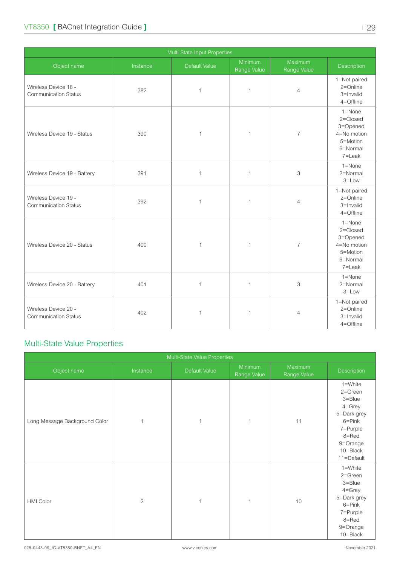<span id="page-28-0"></span>

| Multi-State Input Properties                        |          |               |                        |                           |                                                                                     |  |  |
|-----------------------------------------------------|----------|---------------|------------------------|---------------------------|-------------------------------------------------------------------------------------|--|--|
| Object name                                         | Instance | Default Value | Minimum<br>Range Value | Maximum<br>Range Value    | Description                                                                         |  |  |
| Wireless Device 18 -<br><b>Communication Status</b> | 382      | $\mathbf 1$   | 1                      | $\overline{4}$            | 1=Not paired<br>2=Online<br>3=Invalid<br>4=Offline                                  |  |  |
| Wireless Device 19 - Status                         | 390      | $\mathbf{1}$  | 1                      | $\overline{7}$            | $1 =$ None<br>2=Closed<br>3=Opened<br>4=No motion<br>5=Motion<br>6=Normal<br>7=Leak |  |  |
| Wireless Device 19 - Battery                        | 391      | $\mathbf{1}$  | $\mathbf{1}$           | 3                         | $1 =$ None<br>2=Normal<br>$3 = Low$                                                 |  |  |
| Wireless Device 19 -<br><b>Communication Status</b> | 392      | $\mathbf{1}$  | $\mathbf{1}$           | $\overline{4}$            | 1=Not paired<br>2=Online<br>3=Invalid<br>4=Offline                                  |  |  |
| Wireless Device 20 - Status                         | 400      | 1             | 1                      | $\overline{7}$            | $1 =$ None<br>2=Closed<br>3=Opened<br>4=No motion<br>5=Motion<br>6=Normal<br>7=Leak |  |  |
| Wireless Device 20 - Battery                        | 401      | $\mathbf{1}$  | $\mathbf{1}$           | $\ensuremath{\mathsf{3}}$ | $1 =$ None<br>2=Normal<br>$3 = Low$                                                 |  |  |
| Wireless Device 20 -<br><b>Communication Status</b> | 402      | 1             | 1                      | $\overline{4}$            | 1=Not paired<br>2=Online<br>3=Invalid<br>4=Offline                                  |  |  |

## Multi-State Value Properties

| Multi-State Value Properties  |                |               |                        |                        |                                                                                                                                            |
|-------------------------------|----------------|---------------|------------------------|------------------------|--------------------------------------------------------------------------------------------------------------------------------------------|
| Object name                   | Instance       | Default Value | Minimum<br>Range Value | Maximum<br>Range Value | Description                                                                                                                                |
| Long Message Background Color | $\mathbf{1}$   | $\mathbf{1}$  | $\mathbf 1$            | 11                     | 1=White<br>$2 =$ Green<br>$3 =$ Blue<br>$4 =$ Grey<br>5=Dark grey<br>$6 = Pink$<br>7=Purple<br>8=Red<br>9=Orange<br>10=Black<br>11=Default |
| <b>HMI Color</b>              | $\overline{c}$ | $\mathbf{1}$  | 1                      | 10                     | 1=White<br>2=Green<br>$3 =$ Blue<br>4=Grey<br>5=Dark grey<br>$6 = Pink$<br>7=Purple<br>8=Red<br>9=Orange<br>10=Black                       |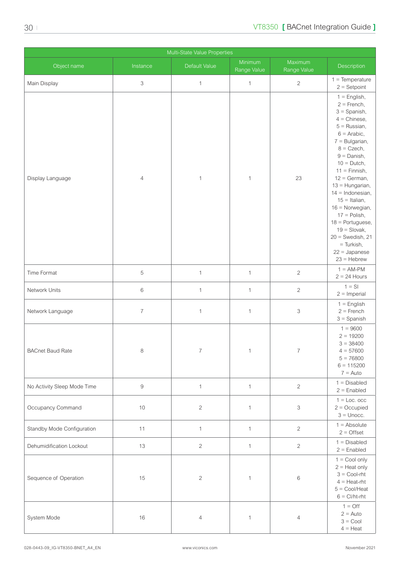| Multi-State Value Properties |                           |                |                        |                           |                                                                                                                                                                                                                                                                                                                                                                                                                                              |
|------------------------------|---------------------------|----------------|------------------------|---------------------------|----------------------------------------------------------------------------------------------------------------------------------------------------------------------------------------------------------------------------------------------------------------------------------------------------------------------------------------------------------------------------------------------------------------------------------------------|
| Object name                  | Instance                  | Default Value  | Minimum<br>Range Value | Maximum<br>Range Value    | Description                                                                                                                                                                                                                                                                                                                                                                                                                                  |
| Main Display                 | $\ensuremath{\mathsf{3}}$ | $\mathbf{1}$   | $\mathbf{1}$           | $\sqrt{2}$                | $1 = Temperature$<br>$2 =$ Setpoint                                                                                                                                                                                                                                                                                                                                                                                                          |
| Display Language             | $\overline{4}$            | $\mathbf 1$    | $\mathbf 1$            | 23                        | $1 =$ English,<br>$2 =$ French,<br>$3 =$ Spanish,<br>$4 =$ Chinese,<br>$5 =$ Russian,<br>$6 =$ Arabic,<br>$7 =$ Bulgarian,<br>$8 = C$ zech,<br>$9 =$ Danish,<br>$10 = Dutch$ ,<br>$11 =$ Finnish,<br>$12 = German$ ,<br>$13 =$ Hungarian,<br>$14 = Indonesian$ ,<br>$15 =$ Italian,<br>$16 =$ Norwegian,<br>$17 =$ Polish,<br>$18 =$ Portuguese,<br>$19 =$ Slovak,<br>$20 =$ Swedish, 21<br>$=$ Turkish,<br>$22 =$ Japanese<br>$23 =$ Hebrew |
| Time Format                  | $\mathbf 5$               | $\mathbf{1}$   | $\mathbf{1}$           | $\overline{c}$            | $1 = AM-PM$<br>$2 = 24$ Hours                                                                                                                                                                                                                                                                                                                                                                                                                |
| Network Units                | $\,6\,$                   | $\mathbf{1}$   | $\mathbf{1}$           | $\sqrt{2}$                | $1 = S1$<br>$2 =$ Imperial                                                                                                                                                                                                                                                                                                                                                                                                                   |
| Network Language             | $\overline{7}$            | $\mathbf{1}$   | $\mathbf{1}$           | 3                         | $1 =$ English<br>$2 =$ French<br>$3 =$ Spanish                                                                                                                                                                                                                                                                                                                                                                                               |
| <b>BACnet Baud Rate</b>      | 8                         | $\overline{7}$ | 1                      | $\overline{7}$            | $1 = 9600$<br>$2 = 19200$<br>$3 = 38400$<br>$4 = 57600$<br>$5 = 76800$<br>$6 = 115200$<br>$7 =$ Auto                                                                                                                                                                                                                                                                                                                                         |
| No Activity Sleep Mode Time  | $\hbox{9}$                | $\mathbf{1}$   | $\mathbf{1}$           | $\sqrt{2}$                | $1 = Disabled$<br>$2 =$ Enabled                                                                                                                                                                                                                                                                                                                                                                                                              |
| Occupancy Command            | 10                        | $\sqrt{2}$     | $\mathbf{1}$           | $\ensuremath{\mathsf{3}}$ | $1 =$ Loc. occ<br>$2 = Occupied$<br>$3 =$ Unocc.                                                                                                                                                                                                                                                                                                                                                                                             |
| Standby Mode Configuration   | 11                        | $\mathbf{1}$   | $\mathbf{1}$           | $\overline{c}$            | $1 =$ Absolute<br>$2 =$ Offset                                                                                                                                                                                                                                                                                                                                                                                                               |
| Dehumidification Lockout     | 13                        | $\sqrt{2}$     | $\mathbf{1}$           | $\overline{c}$            | $1 = Disabled$<br>$2 =$ Enabled                                                                                                                                                                                                                                                                                                                                                                                                              |
| Sequence of Operation        | 15                        | $\sqrt{2}$     | $\mathbf{1}$           | $\,6$                     | $1 =$ Cool only<br>$2 =$ Heat only<br>$3 =$ Cool-rht<br>$4 =$ Heat-rht<br>$5 = \text{Cool/Heat}$<br>$6 = \frac{C}{h}$                                                                                                                                                                                                                                                                                                                        |
| System Mode                  | 16                        | $\overline{4}$ | $\mathbf{1}$           | $\overline{4}$            | $1 = \text{Off}$<br>$2 =$ Auto<br>$3 =$ Cool<br>$4 =$ Heat                                                                                                                                                                                                                                                                                                                                                                                   |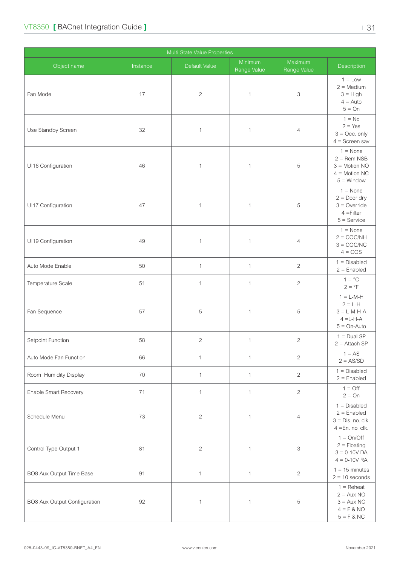| Multi-State Value Properties |          |               |                        |                           |                                                                                          |
|------------------------------|----------|---------------|------------------------|---------------------------|------------------------------------------------------------------------------------------|
| Object name                  | Instance | Default Value | Minimum<br>Range Value | Maximum<br>Range Value    | Description                                                                              |
| Fan Mode                     | 17       | $\sqrt{2}$    | $\mathbf 1$            | 3                         | $1 = Low$<br>$2 = \text{Median}$<br>$3 = High$<br>$4 =$ Auto<br>$5 = On$                 |
| Use Standby Screen           | 32       | $\mathbf{1}$  | 1                      | $\overline{4}$            | $1 = No$<br>$2 = Yes$<br>$3 = Occ$ . only<br>$4 =$ Screen sav                            |
| UI16 Configuration           | 46       | $\mathbf{1}$  | 1                      | 5                         | $1 = \text{None}$<br>$2 =$ Rem NSB<br>$3 =$ Motion NO<br>$4 =$ Motion NC<br>$5 =$ Window |
| UI17 Configuration           | 47       | $\mathbf{1}$  | 1                      | 5                         | $1 = \text{None}$<br>$2 = Door$ dry<br>$3 =$ Override<br>$4 =$ Filter<br>$5 =$ Service   |
| UI19 Configuration           | 49       | $\mathbf{1}$  | $\mathbf 1$            | 4                         | $1 = \text{None}$<br>$2 = COC/NH$<br>$3 = COC/NC$<br>$4 = COS$                           |
| Auto Mode Enable             | 50       | $\mathbf{1}$  | $\mathbf{1}$           | $\overline{2}$            | $1 = Disabled$<br>$2 =$ Enabled                                                          |
| Temperature Scale            | 51       | $\mathbf{1}$  | $\mathbf{1}$           | $\overline{c}$            | $1 = \degree C$<br>$2 = PF$                                                              |
| Fan Sequence                 | 57       | 5             | 1                      | 5                         | $1 = L-M-H$<br>$2 = L-H$<br>$3 = L-M-H-A$<br>$4 = L-H-A$<br>$5 = On-Auto$                |
| Setpoint Function            | 58       | $\mathbf{2}$  | $\mathbf{1}$           | $\overline{2}$            | $1 = Dual SP$<br>$2 =$ Attach SP                                                         |
| Auto Mode Fan Function       | 66       | $\mathbf{1}$  | $\mathbf{1}$           | $\overline{c}$            | $1 = AS$<br>$2 = AS/SD$                                                                  |
| Room Humidity Display        | $70\,$   | $\mathbf{1}$  | $\mathbf{1}$           | $\overline{2}$            | $1 = Disabled$<br>$2 =$ Enabled                                                          |
| Enable Smart Recovery        | 71       | $\mathbf{1}$  | $\mathbf{1}$           | $\overline{c}$            | $1 = \bigcirc$<br>$2 = On$                                                               |
| Schedule Menu                | 73       | $\sqrt{2}$    | 1                      | 4                         | $1 = Disabled$<br>$2 =$ Enabled<br>$3 = Dis. no. clk.$<br>$4 = En. no. clk.$             |
| Control Type Output 1        | 81       | $\sqrt{2}$    | 1                      | $\ensuremath{\mathsf{3}}$ | $1 = On/Off$<br>$2 =$ Floating<br>$3 = 0 - 10V$ DA<br>$4 = 0 - 10V$ RA                   |
| BO8 Aux Output Time Base     | 91       | $\mathbf{1}$  | $\mathbf{1}$           | $\overline{c}$            | $1 = 15$ minutes<br>$2 = 10$ seconds                                                     |
| BO8 Aux Output Configuration | 92       | $\mathbf 1$   | 1                      | 5                         | $1 =$ Reheat<br>$2 = Aux NO$<br>$3 = Aux NC$<br>$4 = F & NO$<br>$5 = F & PC$             |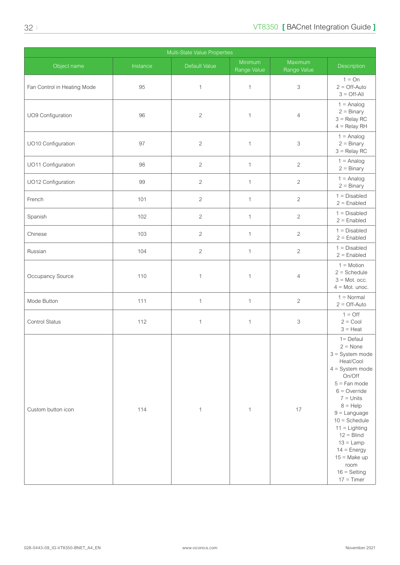| Multi-State Value Properties |          |                |                        |                           |                                                                                                                                                                                                                                                                                                                                         |
|------------------------------|----------|----------------|------------------------|---------------------------|-----------------------------------------------------------------------------------------------------------------------------------------------------------------------------------------------------------------------------------------------------------------------------------------------------------------------------------------|
| Object name                  | Instance | Default Value  | Minimum<br>Range Value | Maximum<br>Range Value    | Description                                                                                                                                                                                                                                                                                                                             |
| Fan Control in Heating Mode  | 95       | $\mathbf{1}$   | $\mathbf 1$            | 3                         | $1 = On$<br>$2 =$ Off-Auto<br>$3 = \bigcirc$ ff-All                                                                                                                                                                                                                                                                                     |
| UO9 Configuration            | 96       | $\mathbf{2}$   | 1                      | $\overline{4}$            | $1 =$ Analog<br>$2 = \text{Binary}$<br>$3 =$ Relay RC<br>$4 =$ Relay RH                                                                                                                                                                                                                                                                 |
| UO10 Configuration           | 97       | $\sqrt{2}$     | $\mathbf 1$            | 3                         | $1 =$ Analog<br>$2 = \text{Binary}$<br>$3 =$ Relay RC                                                                                                                                                                                                                                                                                   |
| UO11 Configuration           | 98       | $\mathbf{2}$   | 1                      | $\mathbf{2}$              | $1 =$ Analog<br>$2 = \text{Binary}$                                                                                                                                                                                                                                                                                                     |
| UO12 Configuration           | 99       | $\mathbf{2}$   | $\mathbf{1}$           | $\sqrt{2}$                | $1 =$ Analog<br>$2 = Binary$                                                                                                                                                                                                                                                                                                            |
| French                       | 101      | $\sqrt{2}$     | $\mathbf{1}$           | $\mathbf{2}$              | $1 = Disabled$<br>$2 =$ Enabled                                                                                                                                                                                                                                                                                                         |
| Spanish                      | 102      | $\mathbf{2}$   | $\mathbf{1}$           | $\mathbf{2}$              | $1 = Disabled$<br>$2 =$ Enabled                                                                                                                                                                                                                                                                                                         |
| Chinese                      | 103      | $\overline{2}$ | $\mathbf 1$            | $\sqrt{2}$                | $1 = Disabled$<br>$2 =$ Enabled                                                                                                                                                                                                                                                                                                         |
| Russian                      | 104      | $\mathbf{2}$   | 1                      | $\sqrt{2}$                | $1 = Disabled$<br>$2 =$ Enabled                                                                                                                                                                                                                                                                                                         |
| Occupancy Source             | 110      | $\mathbf{1}$   | 1                      | $\overline{4}$            | $1 = Motion$<br>$2 =$ Schedule<br>$3 =$ Mot. occ.<br>$4 =$ Mot. unoc.                                                                                                                                                                                                                                                                   |
| Mode Button                  | 111      | $\mathbf{1}$   | 1                      | $\mathbf{2}$              | $1 = Normal$<br>$2 =$ Off-Auto                                                                                                                                                                                                                                                                                                          |
| Control Status               | 112      | $\mathbf{1}$   | 1                      | $\ensuremath{\mathsf{3}}$ | $1 = \text{Off}$<br>$2 = \text{Cool}$<br>$3 =$ Heat                                                                                                                                                                                                                                                                                     |
| Custom button icon           | 114      | $\mathbf{1}$   | 1                      | 17                        | $1 =$ Defaul<br>$2 = None$<br>$3 =$ System mode<br>Heat/Cool<br>$4 = System mode$<br>On/Off<br>$5 =$ Fan mode<br>$6 =$ Override<br>$7 =$ Units<br>$8 = \text{Help}$<br>$9 =$ Language<br>$10 =$ Schedule<br>$11 =$ Lighting<br>$12 = Blind$<br>$13 =$ Lamp<br>$14 = Energy$<br>$15 = Make up$<br>room<br>$16 =$ Setting<br>$17 =$ Timer |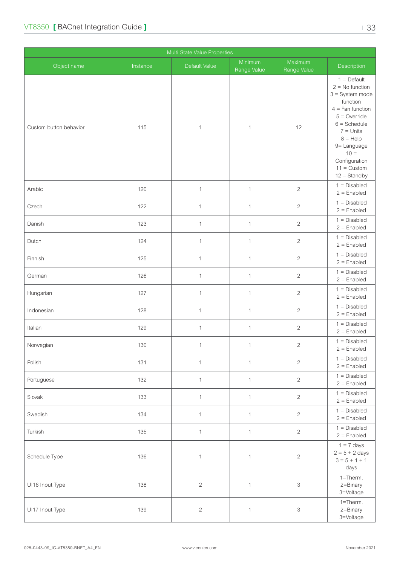| Multi-State Value Properties |          |               |                        |                           |                                                                                                                                                                                                                                                       |
|------------------------------|----------|---------------|------------------------|---------------------------|-------------------------------------------------------------------------------------------------------------------------------------------------------------------------------------------------------------------------------------------------------|
| Object name                  | Instance | Default Value | Minimum<br>Range Value | Maximum<br>Range Value    | Description                                                                                                                                                                                                                                           |
| Custom button behavior       | 115      | $\mathbf{1}$  | 1                      | 12                        | $1 = \text{Default}$<br>$2 = No$ function<br>$3 =$ System mode<br>function<br>$4 =$ Fan function<br>$5 =$ Override<br>$6 =$ Schedule<br>$7 =$ Units<br>$8 = \text{Help}$<br>9= Language<br>$10 =$<br>Configuration<br>$11 =$ Custom<br>$12 =$ Standby |
| Arabic                       | 120      | $\mathbf{1}$  | $\mathbf{1}$           | $\sqrt{2}$                | $1 = Disabled$<br>$2 =$ Enabled                                                                                                                                                                                                                       |
| Czech                        | 122      | $\mathbf{1}$  | $\mathbf{1}$           | $\sqrt{2}$                | $1 = Disabled$<br>$2 =$ Enabled                                                                                                                                                                                                                       |
| Danish                       | 123      | $\mathbf{1}$  | $\mathbf{1}$           | $\overline{c}$            | $1 = Disabled$<br>$2 =$ Enabled                                                                                                                                                                                                                       |
| Dutch                        | 124      | $\mathbf{1}$  | $\mathbf{1}$           | $\sqrt{2}$                | $1 = Disabled$<br>$2 =$ Enabled                                                                                                                                                                                                                       |
| Finnish                      | 125      | $\mathbf{1}$  | $\mathbf{1}$           | $\overline{2}$            | $1 = Disabled$<br>$2 =$ Enabled                                                                                                                                                                                                                       |
| German                       | 126      | $\mathbf{1}$  | $\mathbf{1}$           | $\overline{2}$            | $1 = Disabled$<br>$2 =$ Enabled                                                                                                                                                                                                                       |
| Hungarian                    | 127      | $\mathbf{1}$  | $\mathbf{1}$           | $\sqrt{2}$                | $1 = Disabled$<br>$2 =$ Enabled                                                                                                                                                                                                                       |
| Indonesian                   | 128      | $\mathbf{1}$  | $\mathbf{1}$           | $\sqrt{2}$                | $1 = Disabled$<br>$2 =$ Enabled                                                                                                                                                                                                                       |
| Italian                      | 129      | $\mathbf{1}$  | $\mathbf{1}$           | $\sqrt{2}$                | $1 = Disabled$<br>$2 =$ Enabled                                                                                                                                                                                                                       |
| Norwegian                    | 130      | $\mathbf{1}$  | $\mathbf{1}$           | $\overline{c}$            | $1 = Disabled$<br>$2 =$ Enabled                                                                                                                                                                                                                       |
| Polish                       | 131      | $\mathbf{1}$  | $\mathbf{1}$           | $\overline{c}$            | $1 = Disabled$<br>$2 =$ Enabled                                                                                                                                                                                                                       |
| Portuguese                   | 132      | $\mathbf{1}$  | $\mathbf{1}$           | $\sqrt{2}$                | $1 = Disabled$<br>$2 =$ Enabled                                                                                                                                                                                                                       |
| Slovak                       | 133      | $\mathbf{1}$  | $\mathbf{1}$           | $\overline{c}$            | $1 = Disabled$<br>$2 =$ Enabled                                                                                                                                                                                                                       |
| Swedish                      | 134      | $\mathbf{1}$  | $\mathbf{1}$           | $\overline{c}$            | $1 = Disabled$<br>$2 =$ Enabled                                                                                                                                                                                                                       |
| Turkish                      | 135      | $\mathbf{1}$  | $\mathbf{1}$           | $\overline{c}$            | $1 = Disabled$<br>$2 =$ Enabled                                                                                                                                                                                                                       |
| Schedule Type                | 136      | $\mathbf{1}$  | 1                      | $\sqrt{2}$                | $1 = 7$ days<br>$2 = 5 + 2$ days<br>$3 = 5 + 1 + 1$<br>days                                                                                                                                                                                           |
| UI16 Input Type              | 138      | $\sqrt{2}$    | $\mathbf{1}$           | $\ensuremath{\mathsf{3}}$ | $1 =$ Therm.<br>2=Binary<br>3=Voltage                                                                                                                                                                                                                 |
| UI17 Input Type              | 139      | $\sqrt{2}$    | $\mathbf{1}$           | $\ensuremath{\mathsf{3}}$ | $1 =$ Therm.<br>2=Binary<br>3=Voltage                                                                                                                                                                                                                 |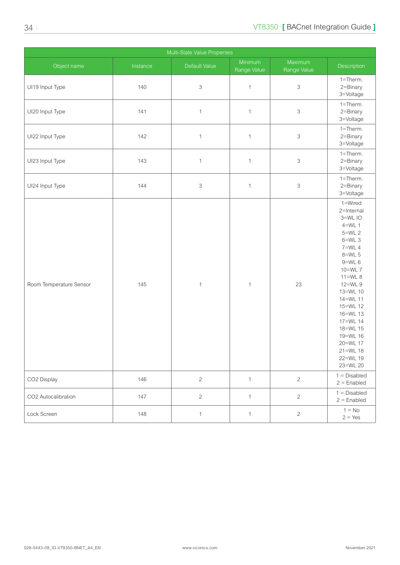| Multi-State Value Properties |          |                           |                        |                        |                                                                                                                                                                                                                                                                                  |
|------------------------------|----------|---------------------------|------------------------|------------------------|----------------------------------------------------------------------------------------------------------------------------------------------------------------------------------------------------------------------------------------------------------------------------------|
| Object name                  | Instance | Default Value             | Minimum<br>Range Value | Maximum<br>Range Value | Description                                                                                                                                                                                                                                                                      |
| UI19 Input Type              | 140      | $\ensuremath{\mathsf{3}}$ | $\mathbf{1}$           | 3                      | 1=Therm.<br>2=Binary<br>3=Voltage                                                                                                                                                                                                                                                |
| UI20 Input Type              | 141      | $\mathbf{1}$              | $\mathbf{1}$           | 3                      | $1 =$ Therm.<br>2=Binary<br>3=Voltage                                                                                                                                                                                                                                            |
| UI22 Input Type              | 142      | $\mathbf{1}$              | $\mathbf{1}$           | 3                      | 1=Therm.<br>2=Binary<br>3=Voltage                                                                                                                                                                                                                                                |
| UI23 Input Type              | 143      | $\mathbf{1}$              | $\mathbf{1}$           | 3                      | $1 =$ Therm.<br>2=Binary<br>3=Voltage                                                                                                                                                                                                                                            |
| UI24 Input Type              | 144      | $\ensuremath{\mathsf{3}}$ | $\mathbf{1}$           | 3                      | 1=Therm.<br>2=Binary<br>3=Voltage                                                                                                                                                                                                                                                |
| Room Temperature Sensor      | 145      | $\mathbf{1}$              | $\mathbf{1}$           | 23                     | 1=Wired<br>2=Internal<br>3=WL IO<br>$4=WL$ 1<br>$5=WL$ 2<br>$6=WL$ 3<br>$7=WL$ 4<br>8=WL 5<br>$9=WL$ 6<br>10=WL 7<br>$11=WL8$<br>12=WL 9<br>13=WL 10<br>14=WL 11<br>15=WL 12<br>16=WL 13<br>17=WL 14<br>18=WL 15<br>19=WL 16<br>20=WL 17<br>$21 = WL$ 18<br>22=WL 19<br>23=WL 20 |
| CO2 Display                  | 146      | $\overline{2}$            | $\mathbf{1}$           | $\overline{2}$         | $1 = Disabled$<br>$2 =$ Enabled                                                                                                                                                                                                                                                  |
| CO2 Autocalibration          | 147      | $\overline{2}$            | $\mathbf 1$            | $\overline{c}$         | $1 = Disabled$<br>$2 =$ Enabled                                                                                                                                                                                                                                                  |
| Lock Screen                  | 148      | $\mathbf{1}$              | $\mathbf{1}$           | $\overline{c}$         | $1 = No$<br>$2 = Yes$                                                                                                                                                                                                                                                            |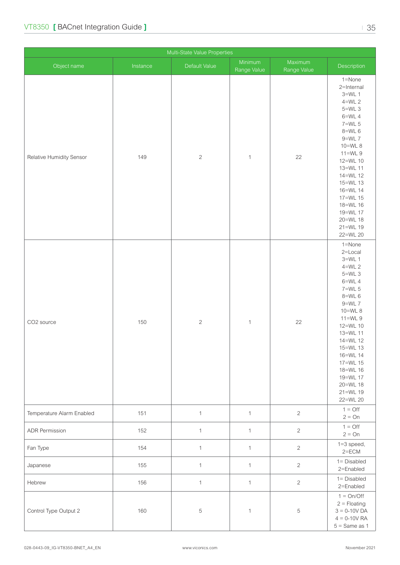| Multi-State Value Properties |          |                |                        |                        |                                                                                                                                                                                                                                                                         |
|------------------------------|----------|----------------|------------------------|------------------------|-------------------------------------------------------------------------------------------------------------------------------------------------------------------------------------------------------------------------------------------------------------------------|
| Object name                  | Instance | Default Value  | Minimum<br>Range Value | Maximum<br>Range Value | Description                                                                                                                                                                                                                                                             |
| Relative Humidity Sensor     | 149      | $\overline{c}$ | $\mathbf{1}$           | 22                     | 1=None<br>2=Internal<br>$3=WL$ 1<br>$4=WL$ 2<br>$5=WL$ 3<br>$6=WL$ 4<br>7=WL 5<br>$8=WL$ 6<br>$9=WL$ 7<br>10=WL 8<br>$11=WL9$<br>12=WL 10<br>13=WL 11<br>14=WL 12<br>15=WL 13<br>16=WL 14<br>17=WL 15<br>18=WL 16<br>19=WL 17<br>20=WL 18<br>21=WL 19<br>22=WL 20       |
| CO2 source                   | 150      | $\sqrt{2}$     | $\mathbf{1}$           | 22                     | 1=None<br>$2 =$ Local<br>$3=WL$ 1<br>$4=WL$ 2<br>$5=WL$ 3<br>$6=WL$ 4<br>7=WL 5<br>$8=$ WL 6<br>$9=WL$ 7<br>10=WL 8<br>$11=WL9$<br>12=WL 10<br>13=WL 11<br>14=WL 12<br>15=WL 13<br>16=WL 14<br>17=WL 15<br>18=WL 16<br>19=WL 17<br>20=WL 18<br>$21 = WL 19$<br>22=WL 20 |
| Temperature Alarm Enabled    | 151      | $\mathbf{1}$   | $\mathbf{1}$           | $\overline{c}$         | $1 = \bigcirc$<br>$2 = On$                                                                                                                                                                                                                                              |
| <b>ADR Permission</b>        | 152      | $\mathbf{1}$   | $\mathbf{1}$           | $\overline{c}$         | $1 = \text{Off}$<br>$2 = On$                                                                                                                                                                                                                                            |
| Fan Type                     | 154      | $\mathbf{1}$   | $\mathbf{1}$           | $\overline{c}$         | $1=3$ speed,<br>$2 = ECM$                                                                                                                                                                                                                                               |
| Japanese                     | 155      | $\mathbf{1}$   | $\mathbf{1}$           | $\overline{c}$         | $1 = Disabled$<br>2=Enabled                                                                                                                                                                                                                                             |
| Hebrew                       | 156      | $\mathbf{1}$   | $\mathbf{1}$           | $\overline{c}$         | $1 = Disabled$<br>2=Enabled                                                                                                                                                                                                                                             |
| Control Type Output 2        | 160      | 5              | $\mathbf{1}$           | $\,$ 5 $\,$            | $1 = On/Off$<br>$2 =$ Floating<br>$3 = 0 - 10V$ DA<br>$4 = 0 - 10V$ RA<br>$5 =$ Same as 1                                                                                                                                                                               |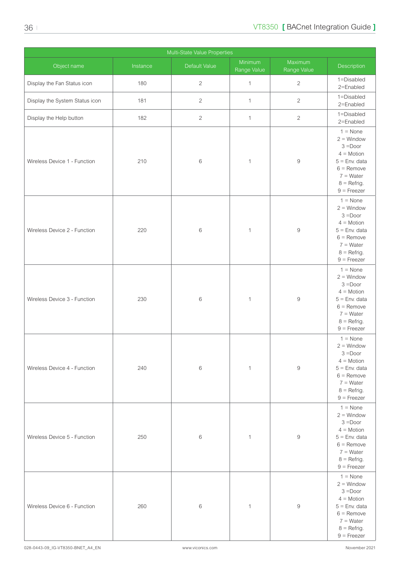| Multi-State Value Properties   |          |               |                        |                        |                                                                                                                                                     |
|--------------------------------|----------|---------------|------------------------|------------------------|-----------------------------------------------------------------------------------------------------------------------------------------------------|
| Object name                    | Instance | Default Value | Minimum<br>Range Value | Maximum<br>Range Value | Description                                                                                                                                         |
| Display the Fan Status icon    | 180      | $\sqrt{2}$    | $\mathbf{1}$           | $\mathbf{2}$           | 1=Disabled<br>2=Enabled                                                                                                                             |
| Display the System Status icon | 181      | $\mathbf{2}$  | $\mathbf{1}$           | $\overline{2}$         | 1=Disabled<br>2=Enabled                                                                                                                             |
| Display the Help button        | 182      | $\sqrt{2}$    | $\mathbf{1}$           | $\overline{c}$         | 1=Disabled<br>2=Enabled                                                                                                                             |
| Wireless Device 1 - Function   | 210      | $\,6\,$       | $\mathbf{1}$           | $\hbox{9}$             | $1 = \text{None}$<br>$2 =$ Window<br>$3 = Door$<br>$4 = Motion$<br>$5 =$ Env. data<br>$6 =$ Remove<br>$7 = Water$<br>$8 =$ Refrig.<br>$9 =$ Freezer |
| Wireless Device 2 - Function   | 220      | 6             | $\mathbf{1}$           | $\boldsymbol{9}$       | $1 = \text{None}$<br>$2 =$ Window<br>$3 = Door$<br>$4 = Motion$<br>$5 =$ Env. data<br>$6 =$ Remove<br>$7 = Water$<br>$8 =$ Refrig.<br>$9 =$ Freezer |
| Wireless Device 3 - Function   | 230      | 6             | $\mathbf{1}$           | $\hbox{9}$             | $1 = \text{None}$<br>$2 =$ Window<br>$3 = Door$<br>$4 = Motion$<br>$5 =$ Env. data<br>$6 =$ Remove<br>$7 = Water$<br>$8 =$ Refrig.<br>$9 =$ Freezer |
| Wireless Device 4 - Function   | 240      | $\,6\,$       | $\mathbf{1}$           | $\hbox{9}$             | $1 = \text{None}$<br>$2 =$ Window<br>$3 = Door$<br>$4 = Motion$<br>$5 =$ Env. data<br>$6 =$ Remove<br>$7 = Water$<br>$8 =$ Refrig.<br>$9$ = Freezer |
| Wireless Device 5 - Function   | 250      | 6             | $\mathbf{1}$           | $\overline{9}$         | $1 = \text{None}$<br>$2 =$ Window<br>$3 = Door$<br>$4 = Motion$<br>$5 =$ Env. data<br>$6 =$ Remove<br>$7 = Water$<br>$8 =$ Refrig.<br>$9$ = Freezer |
| Wireless Device 6 - Function   | 260      | 6             | $\mathbf{1}$           | $\hbox{9}$             | $1 = \text{None}$<br>$2 =$ Window<br>$3 = Door$<br>$4 = Motion$<br>$5 =$ Env. data<br>$6 =$ Remove<br>$7 = Water$<br>$8 =$ Refrig.<br>$9 =$ Freezer |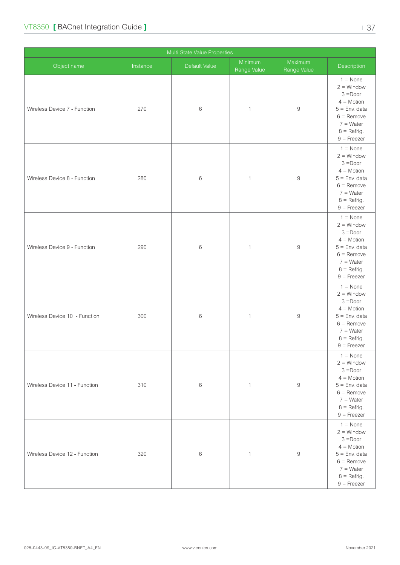| Wireless Device 7 - Function  | 270 | 6     | $\mathbf{1}$ | $\hbox{9}$       | $4 = Motion$<br>$5 =$ Env. data<br>$6 =$ Remove<br>$7 = Water$<br>$8 =$ Refrig.<br>$9$ = Freezer                                                    |
|-------------------------------|-----|-------|--------------|------------------|-----------------------------------------------------------------------------------------------------------------------------------------------------|
| Wireless Device 8 - Function  | 280 | $\,6$ | $\mathbf{1}$ | $\hbox{9}$       | $1 = \text{None}$<br>$2 =$ Window<br>$3 = Door$<br>$4 = Motion$<br>$5 =$ Env. data<br>$6 =$ Remove<br>$7 = Water$<br>$8 =$ Refrig.<br>$9$ = Freezer |
| Wireless Device 9 - Function  | 290 | $\,6$ | $\mathbf{1}$ | $\hbox{9}$       | $1 = \text{None}$<br>$2 =$ Window<br>$3 =$ Door<br>$4 = Motion$<br>$5 =$ Env. data<br>$6 =$ Remove<br>$7 = Water$<br>$8 =$ Refrig.<br>$9$ = Freezer |
| Wireless Device 10 - Function | 300 | $\,6$ | $\mathbf{1}$ | $\boldsymbol{9}$ | $1 = \text{None}$<br>$2 =$ Window<br>$3 = Door$<br>$4 = Motion$<br>$5 =$ Env. data<br>$6 =$ Remove<br>$7 = Water$<br>$8 =$ Refrig.<br>$9$ = Freezer |
| Wireless Device 11 - Function | 310 | 6     | $\mathbf{1}$ | $\overline{9}$   | $1 = \text{None}$<br>$2 =$ Window<br>$3 = Door$<br>$4 = Motion$<br>$5 =$ Env. data<br>$6 =$ Remove<br>$7 = Water$<br>$8 = Refrig.$<br>$9 =$ Freezer |
| Wireless Device 12 - Function | 320 | $\,6$ | $\mathbf{1}$ | $\boldsymbol{9}$ | $1 = \text{None}$<br>$2 =$ Window<br>$3 = Door$<br>$4 = Motion$<br>$5 =$ Env. data<br>$6 =$ Remove<br>$7 = Water$<br>$8 = Refrig.$<br>$9 =$ Freezer |

Multi-State Value Properties

Range Value

Object name **Instance Instance** Default Value Minimum

 $1 =$  None  $2 =$  Window 3 =Door

**Range Value** Description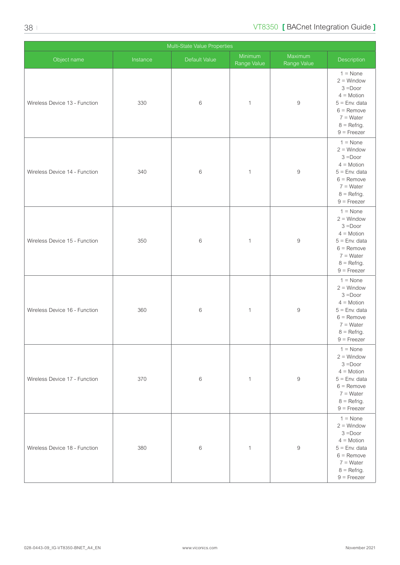| Multi-State Value Properties  |          |               |                        |                        |                                                                                                                                                     |
|-------------------------------|----------|---------------|------------------------|------------------------|-----------------------------------------------------------------------------------------------------------------------------------------------------|
| Object name                   | Instance | Default Value | Minimum<br>Range Value | Maximum<br>Range Value | Description                                                                                                                                         |
| Wireless Device 13 - Function | 330      | $\,6$         | $\mathbf{1}$           | $\hbox{9}$             | $1 = \text{None}$<br>$2 =$ Window<br>$3 =$ Door<br>$4 = Motion$<br>$5 =$ Env. data<br>$6 =$ Remove<br>$7 = Water$<br>$8 =$ Refrig.<br>$9$ = Freezer |
| Wireless Device 14 - Function | 340      | $\,6$         | $\mathbf{1}$           | $\hbox{9}$             | $1 = \text{None}$<br>$2 =$ Window<br>$3 = Door$<br>$4 =$ Motion<br>$5 =$ Env. data<br>$6 =$ Remove<br>$7 = Water$<br>$8 =$ Refrig.<br>$9 =$ Freezer |
| Wireless Device 15 - Function | 350      | 6             | $\mathbf{1}$           | $\boldsymbol{9}$       | $1 = \text{None}$<br>$2 =$ Window<br>$3 = Door$<br>$4 = Motion$<br>$5 =$ Env. data<br>$6 =$ Remove<br>$7 = Water$<br>$8 =$ Refrig.<br>$9 =$ Freezer |
| Wireless Device 16 - Function | 360      | $\,6$         | $\mathbf{1}$           | $\hbox{9}$             | $1 = \text{None}$<br>$2 =$ Window<br>$3 = Door$<br>$4 = Motion$<br>$5 =$ Env. data<br>$6 =$ Remove<br>$7 = Water$<br>$8 =$ Refrig.<br>$9 =$ Freezer |
| Wireless Device 17 - Function | 370      | $\,6$         | $\mathbf{1}$           | $\boldsymbol{9}$       | $1 = \text{None}$<br>$2 =$ Window<br>$3 = Door$<br>$4 = Motion$<br>$5 =$ Env. data<br>$6 =$ Remove<br>$7 = Water$<br>$8 =$ Refrig.<br>$9 =$ Freezer |
| Wireless Device 18 - Function | 380      | 6             | $\mathbf{1}$           | $\boldsymbol{9}$       | $1 = \text{None}$<br>$2 =$ Window<br>$3 = Door$<br>$4 = Motion$<br>$5 =$ Env. data<br>$6 =$ Remove<br>$7 = Water$<br>$8 =$ Refrig.<br>$9$ = Freezer |